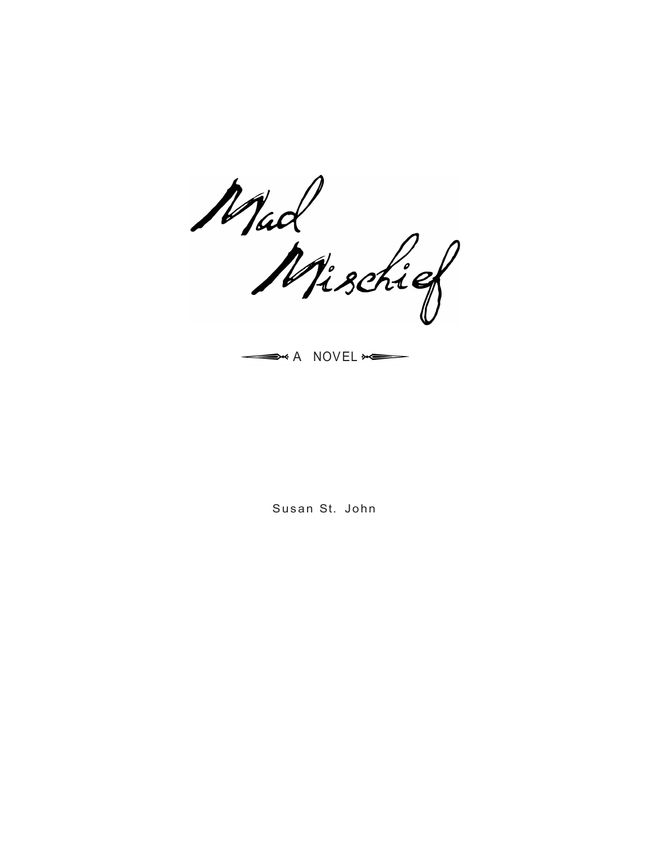Mad<br>Mischief

A NOVEL >>

Susan St. John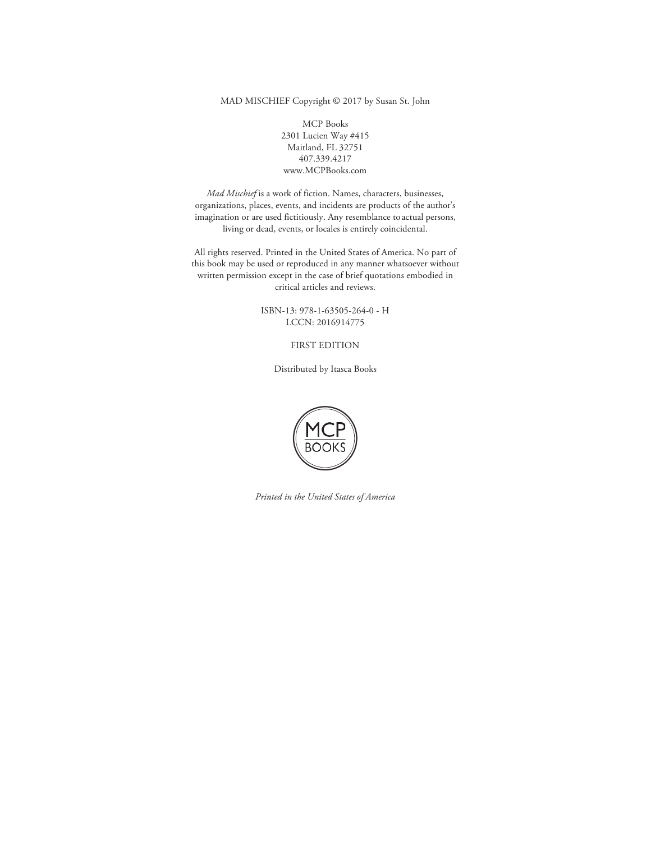### MAD MISCHIEF Copyright © 2017 by Susan St. John

MCP Books 2301 Lucien Way #415 Maitland, FL 32751 407.339.4217 www.MCPBooks.com

*Mad Mischief* is a work of fiction. Names, characters, businesses, organizations, places, events, and incidents are products of the author's imagination or are used fictitiously. Any resemblance to actual persons, living or dead, events, or locales is entirely coincidental.

All rights reserved. Printed in the United States of America. No part of this book may be used or reproduced in any manner whatsoever without written permission except in the case of brief quotations embodied in critical articles and reviews.

> ISBN-13: 978-1-63505-264-0 - H LCCN: 2016914775

### FIRST EDITION

Distributed by Itasca Books



*Printed in the United States of America*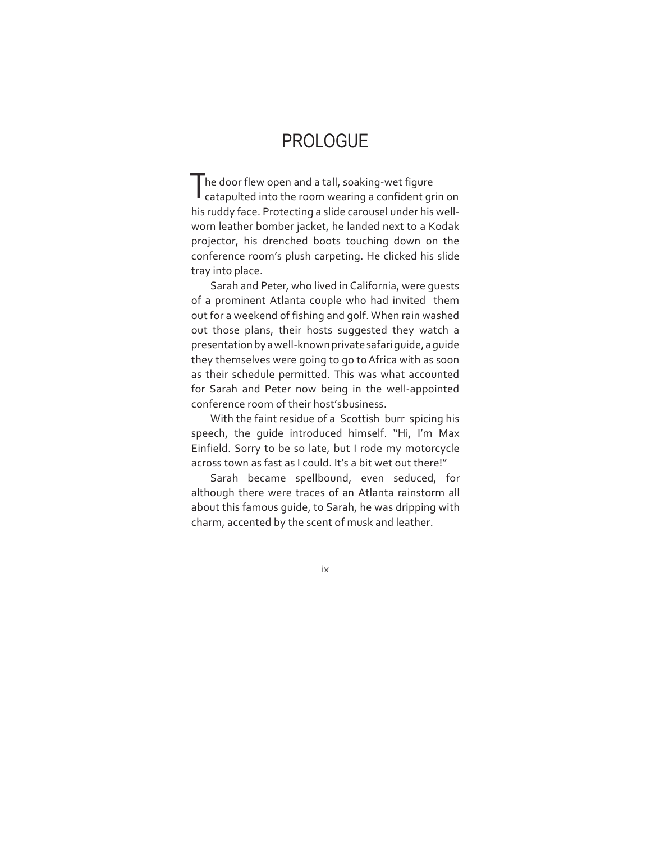## PROLOGUE

The door flew open and a tall, soaking-wet figure catapulted into the room wearing a confident grin on his ruddy face. Protecting a slide carousel under his wellworn leather bomber jacket, he landed next to a Kodak projector, his drenched boots touching down on the conference room's plush carpeting. He clicked his slide tray into place.

Sarah and Peter, who lived in California, were guests# of a prominent Atlanta couple who had invited them out for a weekend of fishing and golf. When rain washed# out those plans, their hosts suggested they watch a presentation by a well-known private safari quide, a quide they themselves were going to go to Africa with as soon as their schedule permitted. This was what accounted for Sarah and Peter now being in the well-appointed conference room of their host'sbusiness.

With the faint residue of a Scottish burr spicing his speech, the quide introduced himself. "Hi, I'm Max Einfield. Sorry to be so late, but I rode my motorcycle across town as fast as I could. It's a bit wet out there!"

Sarah became spellbound, even seduced, for although there were traces of an Atlanta rainstorm all about this famous quide, to Sarah, he was dripping with charm, accented by the scent of musk and leather.

ix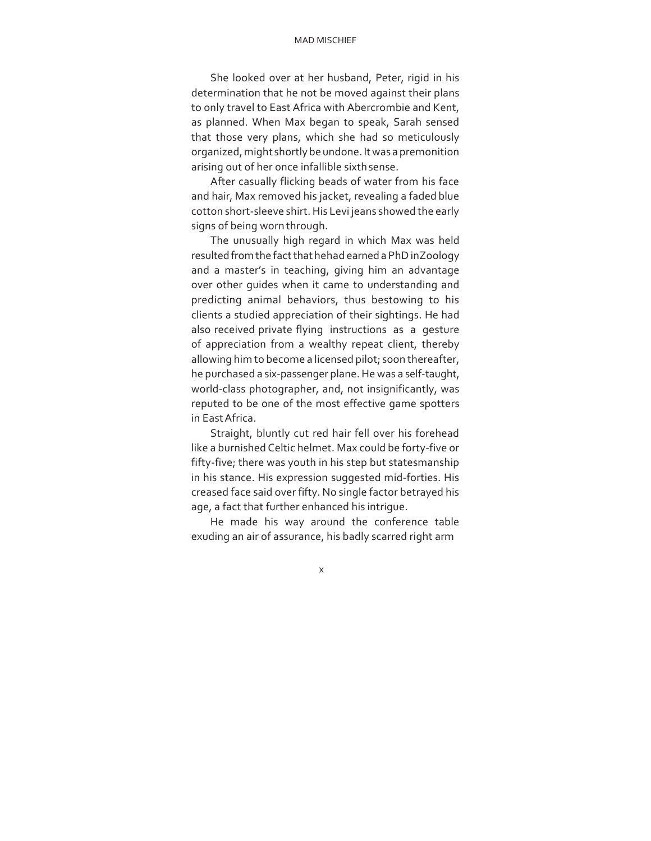She looked over at her husband, Peter, rigid in his determination that he not be moved against their plans to only travel to East Africa with Abercrombie and Kent,# as planned. When Max began to speak, Sarah sensed that those very plans, which she had so meticulously organized, might shortly be undone. It was a premonition arising out of her once infallible sixth sense.

After casually flicking beads of water from his face and hair, Max removed his jacket, revealing a faded blue cotton short-sleeve shirt. His Levi jeans showed the early signs of being worn through.

The unusually high regard in which Max was held resulted from the fact that hehad earned a PhD inZoology and a master's in teaching, giving him an advantage over other guides when it came to understanding and predicting animal behaviors, thus bestowing to his clients a studied appreciation of their sightings. He had also received private flying instructions as a gesture of appreciation from a wealthy repeat client, thereby allowing him to become a licensed pilot; soon thereafter, he purchased a six-passenger plane. He was a self-taught, world-class photographer, and, not insignificantly, was reputed to be one of the most effective game spotters in East Africa.

Straight, bluntly cut red hair fell over his forehead like a burnished Celtic helmet. Max could be forty-five or fifty-five; there was youth in his step but statesmanship in his stance. His expression suggested mid-forties. His creased face said over fifty.No single factor betrayed his# age, a fact that further enhanced his intrigue.

He made his way around the conference table exuding an air of assurance, his badly scarred right arm

x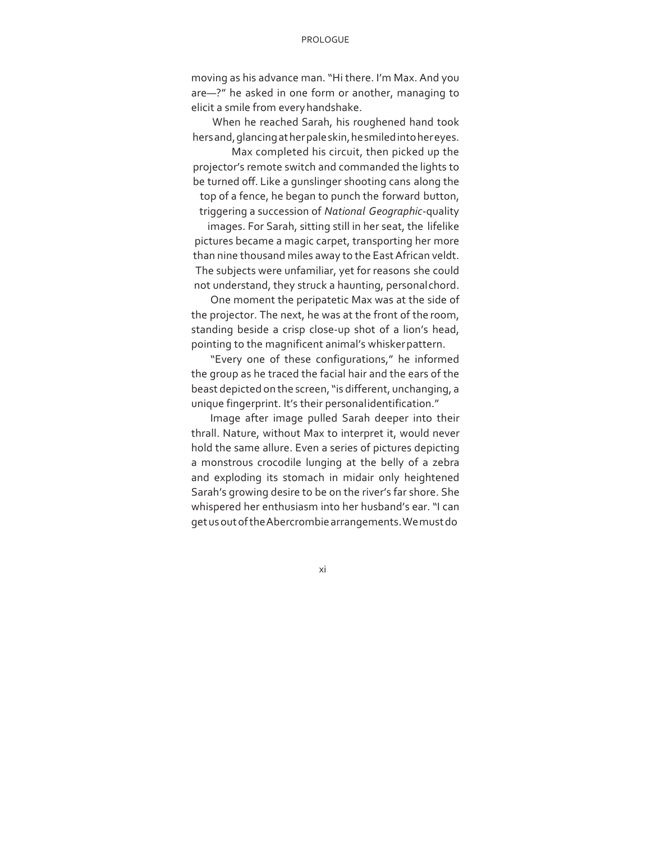### PROLOGUE

moving as his advance man. "Hi there. I'm Max. And you# are—?" he asked in one form or another, managing to elicit a smile from every handshake.

When he reached Sarah, his roughened hand took# hers and, glancing at her paleskin, he smiled into hereyes.

Max completed his circuit, then picked up the projector's remote switch and commanded the lights to be turned off. Like a gunslinger shooting cans along the top of a fence, he began to punch the forward button,

triggering a succession of *National Geographic*-quality images. For Sarah, sitting still in her seat, the lifelike pictures became a magic carpet, transporting her more than nine thousand miles away to the East African veldt. The subjects were unfamiliar, yet for reasons she could not understand, they struck a haunting, personalchord.

One moment the peripatetic Max was at the side of the projector. The next, he was at the front of the room, standing beside a crisp close-up shot of a lion's head, pointing to the magnificent animal's whisker pattern.

"Every one of these configurations," he informed the group as he traced the facial hair and the ears of the beast depicted on the screen, "is different, unchanging, a unique fingerprint. It's their personalidentification."

Image after image pulled Sarah deeper into their thrall. Nature, without Max to interpret it, would never hold the same allure. Even a series of pictures depicting a monstrous crocodile lunging at the belly of a zebra and exploding its stomach in midair only heightened Sarah's growing desire to be on the river's far shore. She# whispered her enthusiasm into her husband's ear. "I can getusoutoftheAbercrombiearrangements.Wemustdo

xi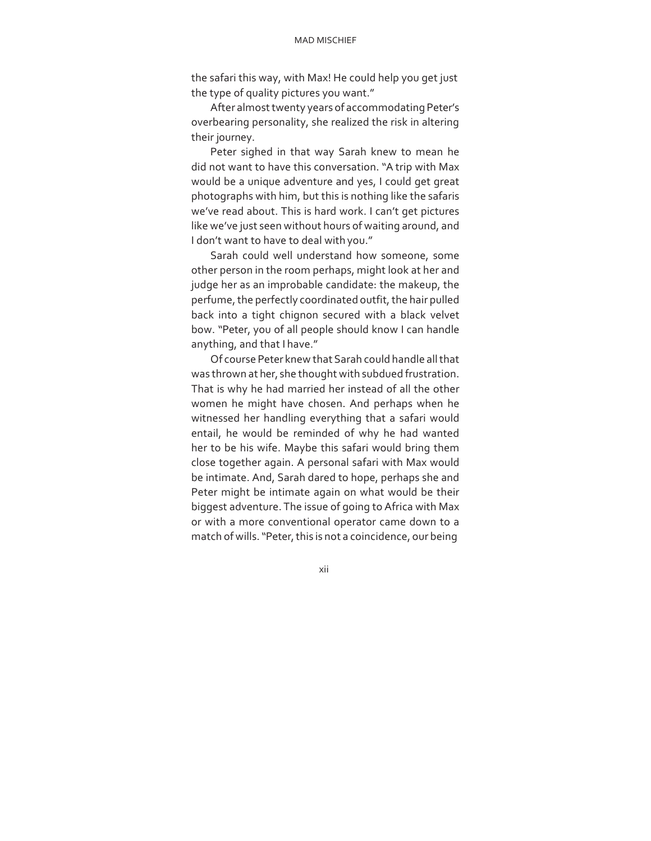the safari this way, with Max! He could help you get just the type of quality pictures you want."

After almost twenty years of accommodating Peter's overbearing personality, she realized the risk in altering their journey.

Peter sighed in that way Sarah knew to mean he did not want to have this conversation. "A trip with Max would be a unique adventure and yes, I could get great photographs with him, but this is nothing like the safaris# we've read about. This is hard work. I can't get pictures like we've just seen without hours of waiting around, and# I don't want to have to deal with you."

Sarah could well understand how someone, some other person in the room perhaps, might look at her and# judge her as an improbable candidate: the makeup, the perfume, the perfectly coordinated outfit, the hair pulled back into a tight chignon secured with a black velvet bow. "Peter, you of all people should know I can handle anything, and that I have."

Of course Peter knew that Sarah could handle allthat# was thrown at her, she thought with subdued frustration.# That is why he had married her instead of all the other women he might have chosen. And perhaps when he witnessed her handling everything that a safari would entail, he would be reminded of why he had wanted her to be his wife. Maybe this safari would bring them close together again. A personal safari with Max would be intimate. And, Sarah dared to hope, perhaps she and Peter might be intimate again on what would be their biggest adventure. The issue of going to Africa with Max# or with a more conventional operator came down to a match of wills. "Peter, this is not a coincidence, our being

xii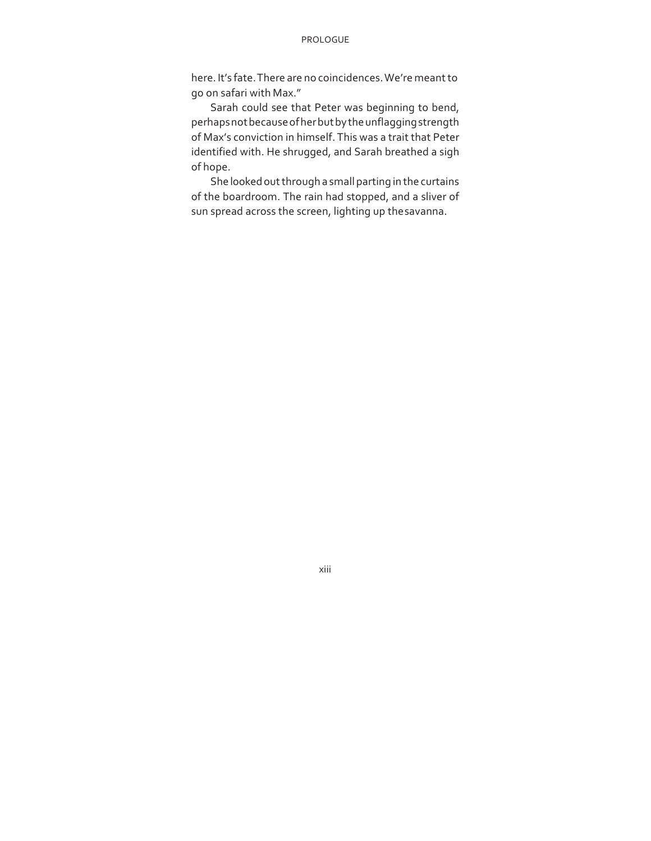here. It's fate. There are no coincidences. We're meant to go on safari with Max."

Sarah could see that Peter was beginning to bend, perhaps not because of her but by the unflagging strength of Max's conviction in himself. This was a trait that Peter# identified with. He shrugged, and Sarah breathed a sigh of hope.

She looked out through a small parting in the curtains of the boardroom. The rain had stopped, and a sliver of sun spread across the screen, lighting up thesavanna.

xiii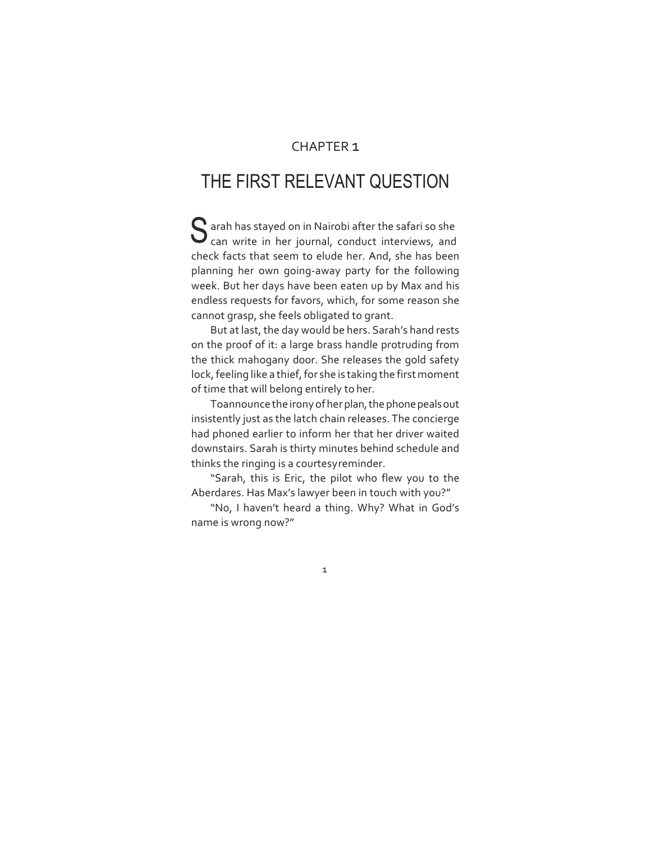### CHAPTER 1

# THE FIRST RELEVANT QUESTION

arah has stayed on in Nairobi after the safari so she can write in her journal, conduct interviews, and check facts that seem to elude her. And, she has been planning her own going- away party for the following week. But her days have been eaten up by Max and his endless requests for favors, which, for some reason she cannot grasp, she feels obligated to grant.

But at last, the day would be hers. Sarah's hand rests# on the proof of it: a large brass handle protruding from the thick mahogany door. She releases the gold safety lock, feeling like a thief, for she is taking the first moment of time that will belong entirely to her.

Toannounce the irony of her plan, the phone peals out insistently just as the latch chain releases. The concierge had phoned earlier to inform her that her driver waited downstairs. Sarah is thirty minutes behind schedule and thinks the ringing is a courtesyreminder.

"Sarah, this is Eric, the pilot who flew you to the Aberdares. Has Max's lawyer been in touch with you?"

"No, I haven't heard a thing. Why? What in God's name is wrong now?"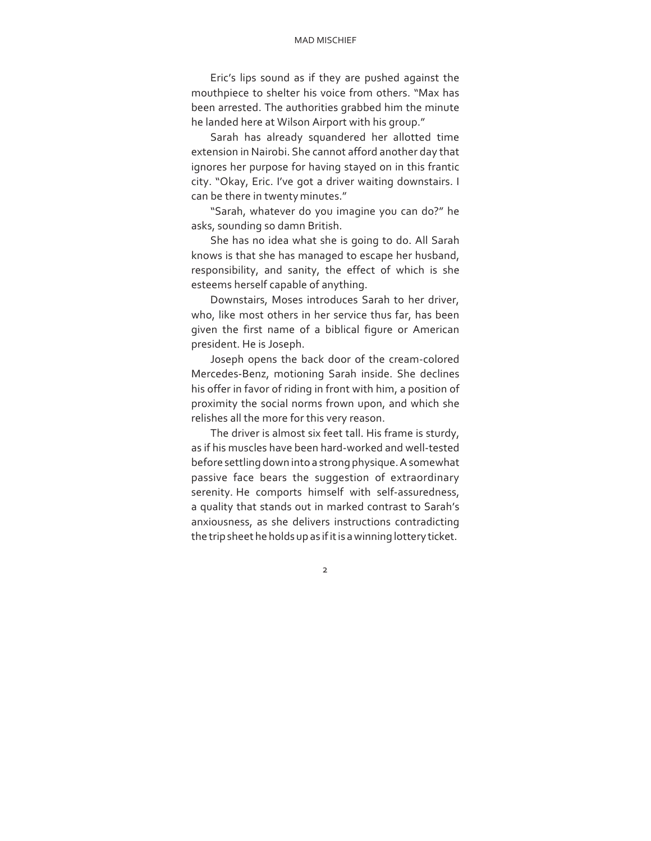Eric's lips sound as if they are pushed against the mouthpiece to shelter his voice from others. "Max has been arrested. The authorities grabbed him the minute he landed here at Wilson Airport with his group."

Sarah has already squandered her allotted time extension in Nairobi. She cannot afford another day that# ignores her purpose for having stayed on in this frantic city. "Okay, Eric. I've got a driver waiting downstairs. I can be there in twenty minutes."

"Sarah, whatever do you imagine you can do?" he asks, sounding so damn British.

She has no idea what she is going to do. All Sarah knows is that she has managed to escape her husband, responsibility, and sanity, the effect of which is she esteems herself capable of anything.

Downstairs, Moses introduces Sarah to her driver, who, like most others in her service thus far, has been given the first name of a biblical figure or American president. He is Joseph.

Joseph opens the back door of the cream-colored Mercedes-Benz, motioning Sarah inside. She declines his offer in favor of riding in front with him, a position of proximity the social norms frown upon, and which she relishes all the more for this very reason.

The driver is almost six feet tall. His frame is sturdy, as if his muscles have been hard-worked and well-tested before settling down into a strong physique. A somewhat passive face bears the suggestion of extraordinary serenity. He comports himself with self-assuredness, a quality that stands out in marked contrast to Sarah's anxiousness, as she delivers instructions contradicting the trip sheet he holds up as if it is a winning lottery ticket.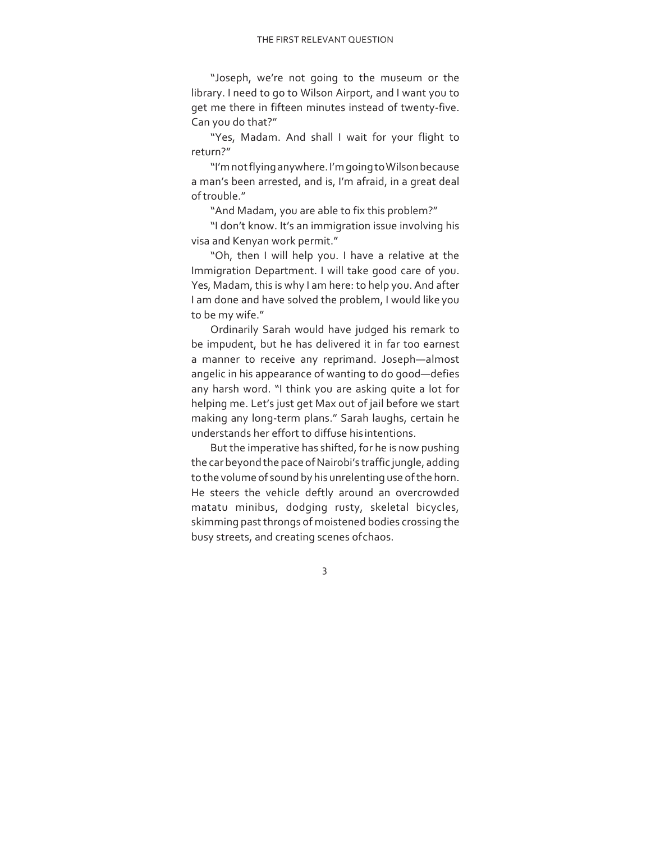"Joseph, we're not going to the museum or the library. I need to go to Wilson Airport, and I want you to get me there in fifteen minutes instead of twenty-five. Can you do that?"

"Yes, Madam. And shall I wait for your flight to return?"

"I'mnotflyinganywhere.I'mgoingtoWilsonbecause# a man's been arrested, and is, I'm afraid, in a great deal oftrouble."

"And Madam, you are able to fix this problem?"

"I don't know. It's an immigration issue involving his visa and Kenyan work permit."

"Oh, then I will help you. I have a relative at the Immigration Department. I will take good care of you. Yes, Madam, this is why I am here: to help you. And after# I am done and have solved the problem, I would like you to be my wife."

Ordinarily Sarah would have judged his remark to be impudent, but he has delivered it in far too earnest a manner to receive any reprimand. Joseph—almost angelic in his appearance of wanting to do good-defies any harsh word. "I think you are asking quite a lot for helping me. Let's just get Max out of jail before we start making any long-term plans." Sarah laughs, certain he understands her effort to diffuse his intentions.

But the imperative has shifted, for he is now pushing# the car beyond the pace of Nairobi's traffic jungle, adding to the volume of sound by his unrelenting use ofthe horn.# He steers the vehicle deftly around an overcrowded matatu minibus, dodging rusty, skeletal bicycles, skimming past throngs of moistened bodies crossing the busy streets, and creating scenes of chaos.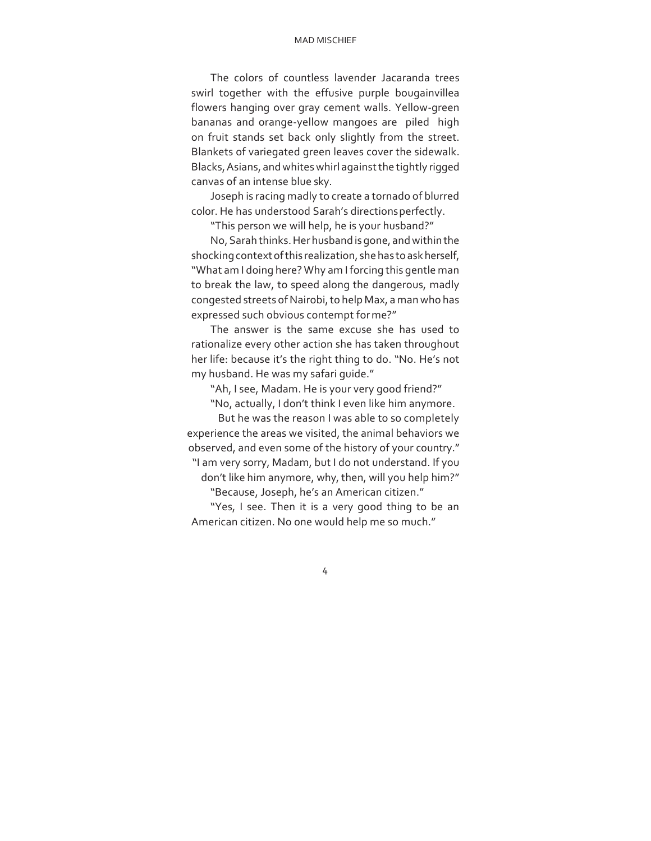The colors of countless lavender Jacaranda trees swirl together with the effusive purple bougainvillea flowers hanging over gray cement walls. Yellow-green bananas and orange-yellow mangoes are piled high on fruit stands set back only slightly from the street. Blankets of variegated green leaves cover the sidewalk. Blacks,Asians, and whites whirl againstthe tightly rigged# canvas of an intense blue sky.

Joseph is racing madly to create a tornado of blurred# color. He has understood Sarah's directions perfectly.

"This person we will help, he is your husband?"

No, Sarah thinks. Her husband is gone, and within the shocking context of this realization, she has to ask herself, "What am I doing here? Why am I forcing this gentle man to break the law, to speed along the dangerous, madly congested streets of Nairobi, to help Max, a man who has expressed such obvious contempt for me?"

The answer is the same excuse she has used to rationalize every other action she has taken throughout her life: because it's the right thing to do. "No. He's not my husband. He was my safari guide."

"Ah, I see, Madam. He is your very good friend?"

"No, actually, I don't think I even like him anymore.

But he was the reason I was able to so completely experience the areas we visited, the animal behaviors we observed, and even some of the history of your country." "I am very sorry, Madam, but I do not understand. If you

don't like him anymore, why, then, will you help him?" "Because, Joseph, he's an American citizen."

"Yes, I see. Then it is a very good thing to be an American citizen. No one would help me so much."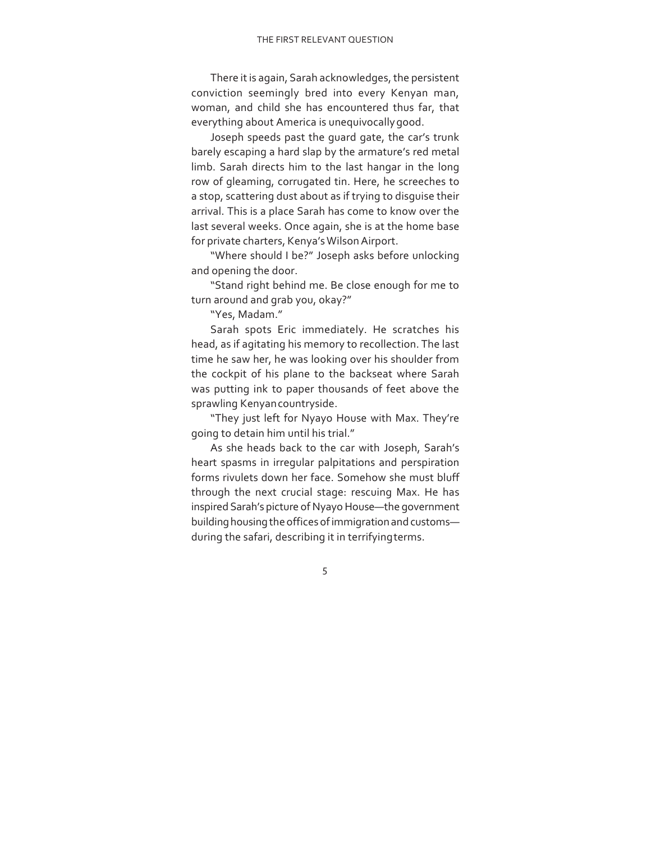There it is again, Sarah acknowledges, the persistent conviction seemingly bred into every Kenyan man, woman, and child she has encountered thus far, that everything about America is unequivocally good.

Joseph speeds past the guard gate, the car's trunk barely escaping a hard slap by the armature's red metal limb. Sarah directs him to the last hangar in the long row of gleaming, corrugated tin. Here, he screeches to a stop, scattering dust about as if trying to disguise their# arrival. This is a place Sarah has come to know over the last several weeks. Once again, she is at the home base for private charters, Kenya'sWilsonAirport.

"Where should I be?" Joseph asks before unlocking and opening the door.

"Stand right behind me. Be close enough for me to turn around and grab you, okay?"

"Yes, Madam."

Sarah spots Eric immediately. He scratches his head, as if agitating his memory to recollection. The last time he saw her, he was looking over his shoulder from the cockpit of his plane to the backseat where Sarah was putting ink to paper thousands of feet above the sprawling Kenyan countryside.

"They just left for Nyayo House with Max. They're going to detain him until his trial."

As she heads back to the car with Joseph, Sarah's heart spasms in irregular palpitations and perspiration forms rivulets down her face. Somehow she must bluff through the next crucial stage: rescuing Max. He has inspired Sarah's picture of Nyayo House-the government building housing the offices of immigration and customsduring the safari, describing it in terrifying terms.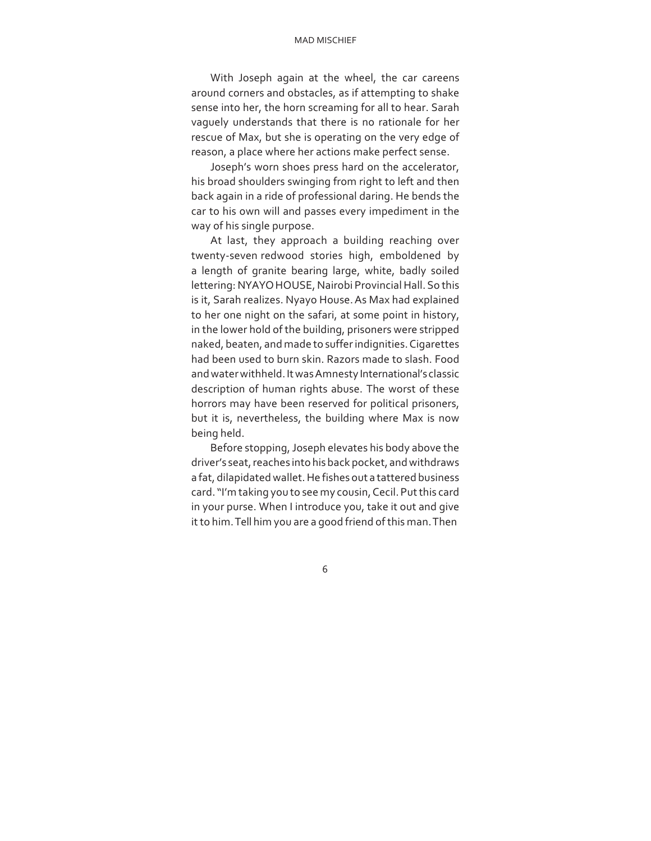With Joseph again at the wheel, the car careens around corners and obstacles, as if attempting to shake sense into her, the horn screaming for all to hear. Sarah vaguely understands that there is no rationale for her rescue of Max, but she is operating on the very edge of reason, a place where her actions make perfect sense.

Joseph's worn shoes press hard on the accelerator, his broad shoulders swinging from right to left and then back again in a ride of professional daring. He bends the car to his own will and passes every impediment in the way of his single purpose.

At last, they approach a building reaching over twenty-seven redwood stories high, emboldened by a length of granite bearing large, white, badly soiled lettering: NYAYO HOUSE, Nairobi Provincial Hall. So this is it, Sarah realizes. Nyayo House. As Max had explained to her one night on the safari, at some point in history, in the lower hold of the building, prisoners were stripped naked, beaten, and made to sufferindignities.Cigarettes# had been used to burn skin. Razors made to slash. Food and water withheld. It was Amnesty International's classic description of human rights abuse. The worst of these horrors may have been reserved for political prisoners, but it is, nevertheless, the building where Max is now being held.

Before stopping, Joseph elevates his body above the driver's seat, reaches into his back pocket, and withdraws a fat, dilapidated wallet. He fishes out a tattered business card."I'm taking you to see my cousin,Cecil. Putthis card# in your purse. When I introduce you, take it out and give it to him. Tell him you are a good friend of this man. Then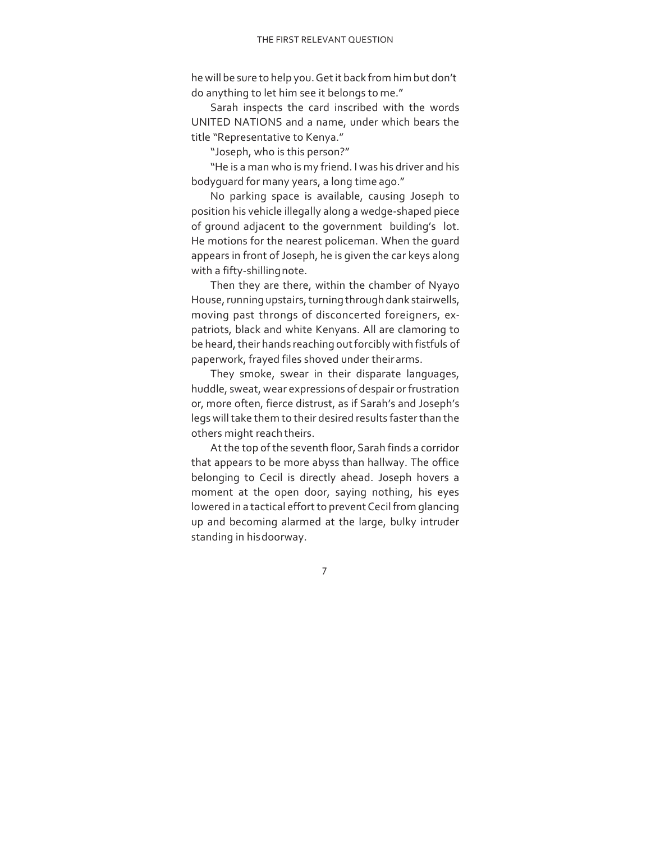he will be sure to help you. Get it back from him but don't do anything to let him see it belongs to me."

Sarah inspects the card inscribed with the words UNITED NATIONS and a name, under which bears the title "Representative to Kenya."

"Joseph, who is this person?"

"He is a man who is my friend. I was his driver and his# bodyquard for many years, a long time ago."

No parking space is available, causing Joseph to position his vehicle illegally along a wedge-shaped piece of ground adjacent to the government building's lot. He motions for the nearest policeman. When the guard appears in front of Joseph, he is given the car keys along# with a fifty-shilling note.

Then they are there, within the chamber of Nyayo House, running upstairs, turning through dank stairwells, moving past throngs of disconcerted foreigners, expatriots, black and white Kenyans. All are clamoring to be heard, their hands reaching out forcibly with fistfuls of paperwork, frayed files shoved under their arms.

They smoke, swear in their disparate languages, huddle, sweat, wear expressions of despair or frustration# or, more often, fierce distrust, as if Sarah's and Joseph's legs will take them to their desired results faster than the others might reach theirs.

At the top of the seventh floor, Sarah finds a corridor# that appears to be more abyss than hallway. The office belonging to Cecil is directly ahead. Joseph hovers a moment at the open door, saying nothing, his eyes lowered in a tactical effort to prevent Cecil from glancing up and becoming alarmed at the large, bulky intruder standing in hisdoorway.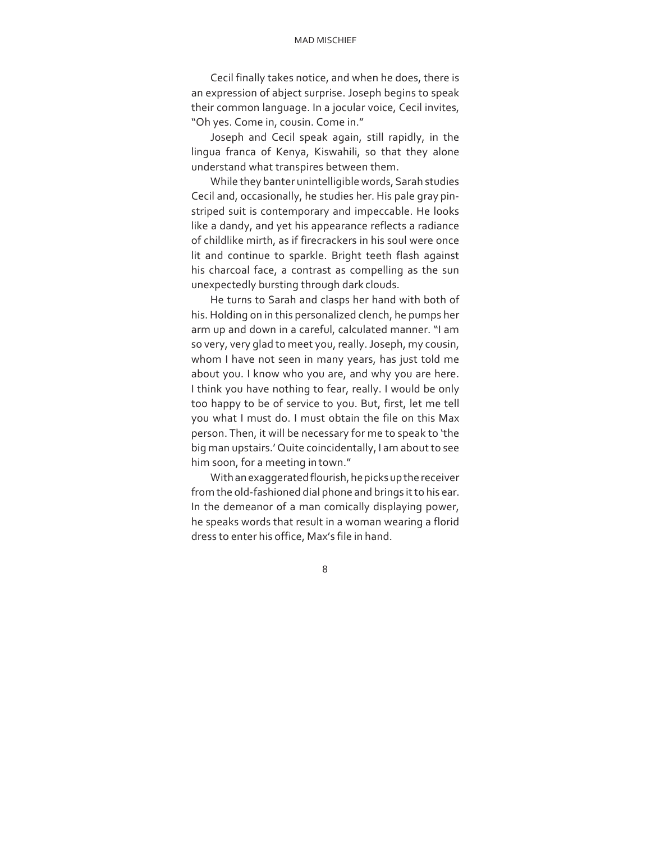Cecil finally takes notice, and when he does, there is an expression of abject surprise. Joseph begins to speak their common language. In a jocular voice, Cecil invites, "Oh yes. Come in, cousin. Come in."

Joseph and Cecil speak again, still rapidly, in the lingua franca of Kenya, Kiswahili, so that they alone understand what transpires between them.

While they banter unintelligible words, Sarah studies Cecil and, occasionally, he studies her. His pale gray pinstriped suit is contemporary and impeccable. He looks like a dandy, and yet his appearance reflects a radiance of childlike mirth, as if firecrackers in his soul were once lit and continue to sparkle. Bright teeth flash against his charcoal face, a contrast as compelling as the sun unexpectedly bursting through dark clouds.

He turns to Sarah and clasps her hand with both of his. Holding on in this personalized clench, he pumps her# arm up and down in a careful, calculated manner. "I am so very, very glad to meet you, really. Joseph, my cousin, whom I have not seen in many years, has just told me about you. I know who you are, and why you are here. I think you have nothing to fear, really. I would be only too happy to be of service to you. But, first, let me tell you what I must do. I must obtain the file on this Max person. Then, it will be necessary for me to speak to 'the# big man upstairs.' Quite coincidentally, I am about to see him soon, for a meeting in town."

With an exaggerated flourish, he picks up the receiver from the old-fashioned dial phone and brings it to his ear. In the demeanor of a man comically displaying power, he speaks words that result in a woman wearing a florid dress to enter his office, Max's file in hand.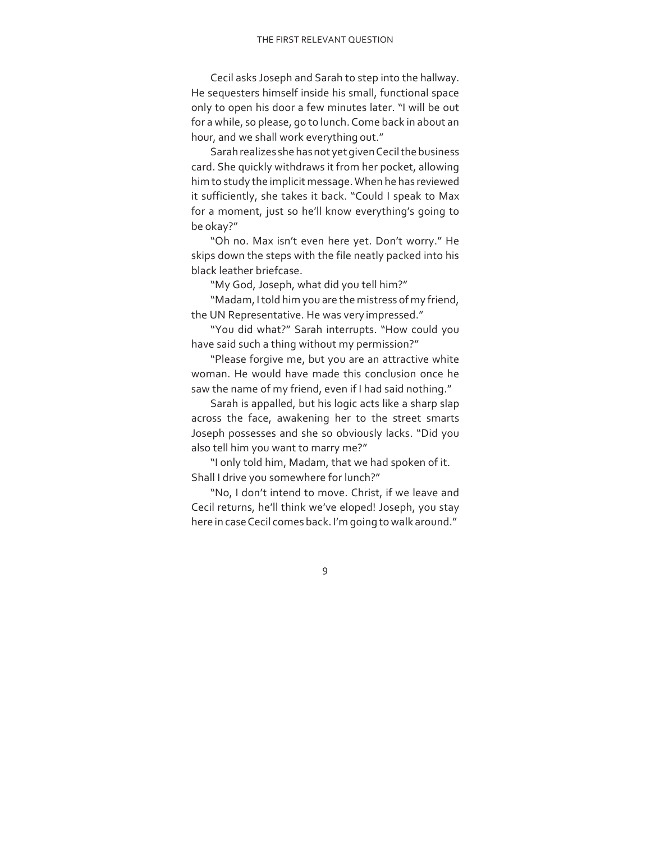Cecil asks Joseph and Sarah to step into the hallway.# He sequesters himself inside his small, functional space only to open his door a few minutes later. "I will be out for a while, so please, go to lunch. Come back in about an hour, and we shall work everything out."

Sarah realizes she has not yet given Cecil the business card. She quickly withdraws it from her pocket, allowing# him to study the implicit message.When he has reviewed# it sufficiently, she takes it back. "Could I speak to Max for a moment, just so he'll know everything's going to be okay?"

"Oh no. Max isn't even here yet. Don't worry." He skips down the steps with the file neatly packed into his black leather briefcase.

"My God, Joseph, what did you tell him?"

"Madam, I told him you are the mistress of my friend, the UN Representative. He was very impressed."

"You did what?" Sarah interrupts. "How could you have said such a thing without my permission?"

"Please forgive me, but you are an attractive white woman. He would have made this conclusion once he saw the name of my friend, even if I had said nothing."

Sarah is appalled, but his logic acts like a sharp slap across the face, awakening her to the street smarts Joseph possesses and she so obviously lacks. "Did you also tell him you want to marry me?"

"I only told him, Madam, that we had spoken of it. Shall I drive you somewhere for lunch?"

"No, I don't intend to move. Christ, if we leave and Cecil returns, he'll think we've eloped! Joseph, you stay here in case Cecil comes back. I'm going to walk around."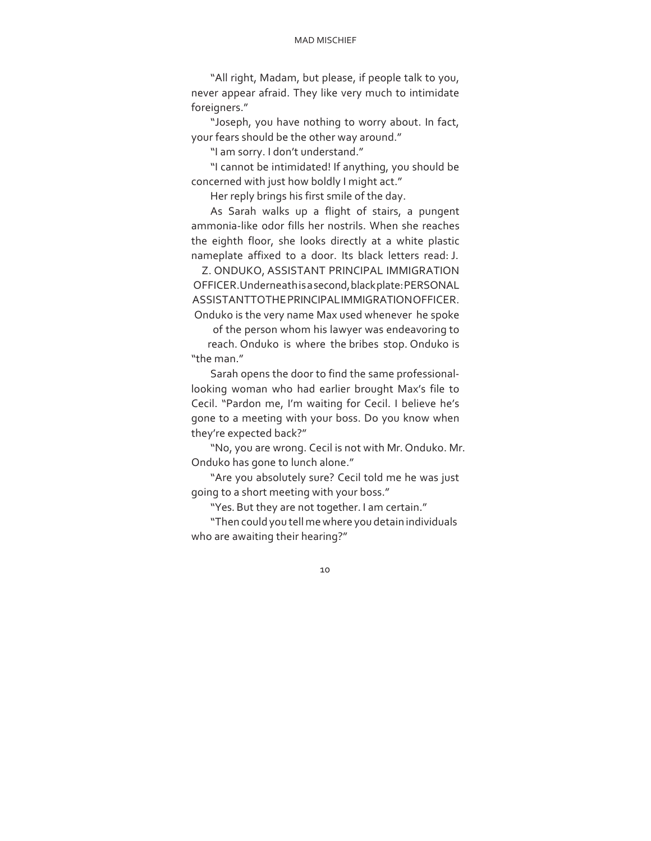"All right, Madam, but please, if people talk to you, never appear afraid. They like very much to intimidate foreigners."

"Joseph, you have nothing to worry about. In fact, your fears should be the other way around."

"I am sorry. I don't understand."

"I cannot be intimidated! If anything, you should be concerned with just how boldly I might act."

Her reply brings his first smile of the day.

As Sarah walks up a flight of stairs, a pungent ammonia-like odor fills her nostrils. When she reaches the eighth floor, she looks directly at a white plastic nameplate affixed to a door. Its black letters read: J.

Z. ONDUKO, ASSISTANT PRINCIPAL IMMIGRATION OFFICER.Underneathisasecond,blackplate:PERSONAL# ASSISTANTTOTHEPRINCIPALIMMIGRATIONOFFICER.

Onduko is the very name Max used whenever he spoke of the person whom his lawyer was endeavoring to reach. Onduko is where the bribes stop. Onduko is "the man."

Sarah opens the door to find the same professionallooking woman who had earlier brought Max's file to Cecil. "Pardon me, I'm waiting for Cecil. I believe he's gone to a meeting with your boss. Do you know when they're expected back?"

"No, you are wrong. Cecil is not with Mr. Onduko. Mr. Onduko has gone to lunch alone."

"Are you absolutely sure? Cecil told me he was just going to a short meeting with your boss."

"Yes. But they are not together. I am certain."

"Then could you tell me where you detain individuals who are awaiting their hearing?"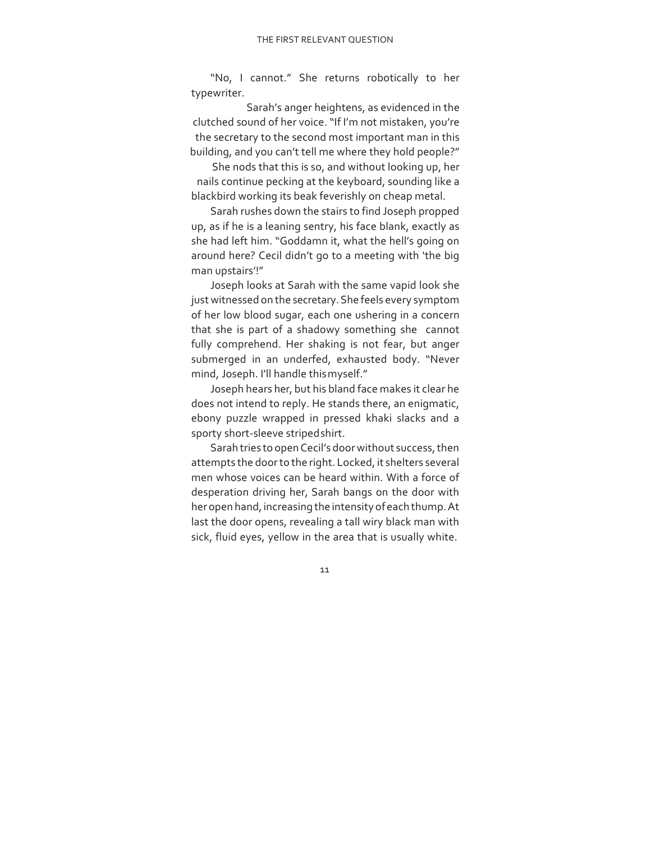"No, I cannot." She returns robotically to her typewriter.

Sarah's anger heightens, as evidenced in the clutched sound of her voice. "If I'm not mistaken, you're the secretary to the second most important man in this building, and you can't tell me where they hold people?"

She nods that this is so, and without looking up, her nails continue pecking at the keyboard, sounding like a blackbird working its beak feverishly on cheap metal.

Sarah rushes down the stairs to find Joseph propped# up, as if he is a leaning sentry, his face blank, exactly as she had left him. "Goddamn it, what the hell's going on around here? Cecil didn't go to a meeting with 'the big man upstairs'!"

Joseph looks at Sarah with the same vapid look she just witnessed on the secretary. She feels every symptom of her low blood sugar, each one ushering in a concern that she is part of a shadowy something she cannot fully comprehend. Her shaking is not fear, but anger submerged in an underfed, exhausted body. "Never mind, Joseph. I'll handle thismyself."

Joseph hears her, but his bland face makes it clear he# does not intend to reply. He stands there, an enigmatic, ebony puzzle wrapped in pressed khaki slacks and a sporty short-sleeve stripedshirt.

Sarah tries to open Cecil's door without success, then attempts the doorto the right. Locked, it shelters several# men whose voices can be heard within. With a force of desperation driving her, Sarah bangs on the door with her open hand, increasing the intensity of each thump.At# last the door opens, revealing a tall wiry black man with sick, fluid eyes, yellow in the area that is usually white.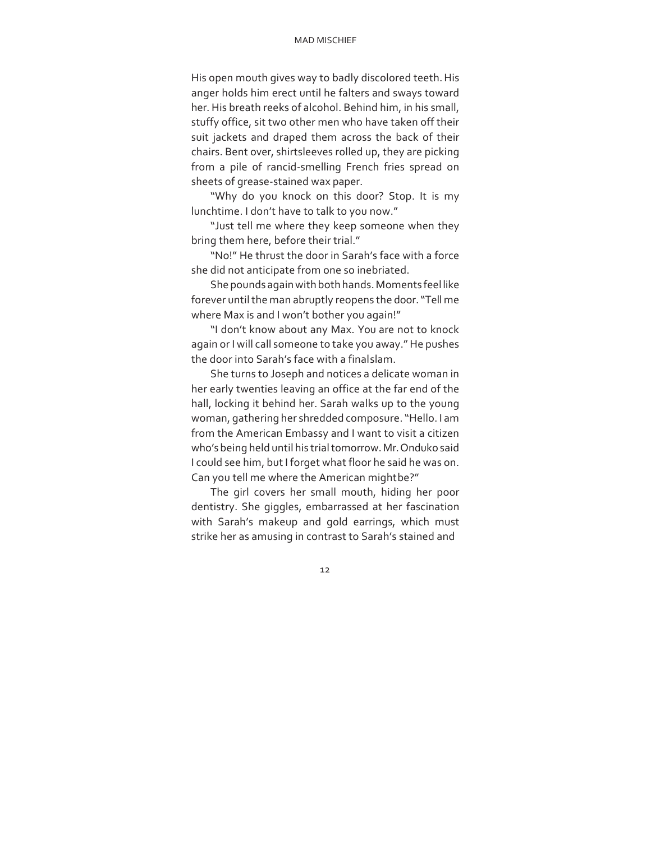His open mouth gives way to badly discolored teeth. His anger holds him erect until he falters and sways toward her. His breath reeks of alcohol. Behind him, in his small,# stuffy office, sit two other men who have taken off their suit jackets and draped them across the back of their chairs. Bent over, shirtsleeves rolled up, they are picking# from a pile of rancid-smelling French fries spread on sheets of grease-stained wax paper.

"Why do you knock on this door? Stop. It is my lunchtime. I don't have to talk to you now."

"Just tell me where they keep someone when they bring them here, before their trial."

"No!" He thrust the door in Sarah's face with a force she did not anticipate from one so inebriated.

She pounds again with both hands. Moments feel like forever until the man abruptly reopens the door. "Tell me where Max is and I won't bother you again!"

"I don't know about any Max. You are not to knock again or I will call someone to take you away." He pushes the door into Sarah's face with a finalslam.

She turns to Joseph and notices a delicate woman in# her early twenties leaving an office at the far end of the hall, locking it behind her. Sarah walks up to the young woman, gathering her shredded composure."Hello. I am# from the American Embassy and I want to visit a citizen who's being held until his trial tomorrow. Mr. Onduko said I could see him, but I forget what floor he said he was on.# Can you tell me where the American mightbe?"

The girl covers her small mouth, hiding her poor dentistry. She giggles, embarrassed at her fascination with Sarah's makeup and gold earrings, which must strike her as amusing in contrast to Sarah's stained and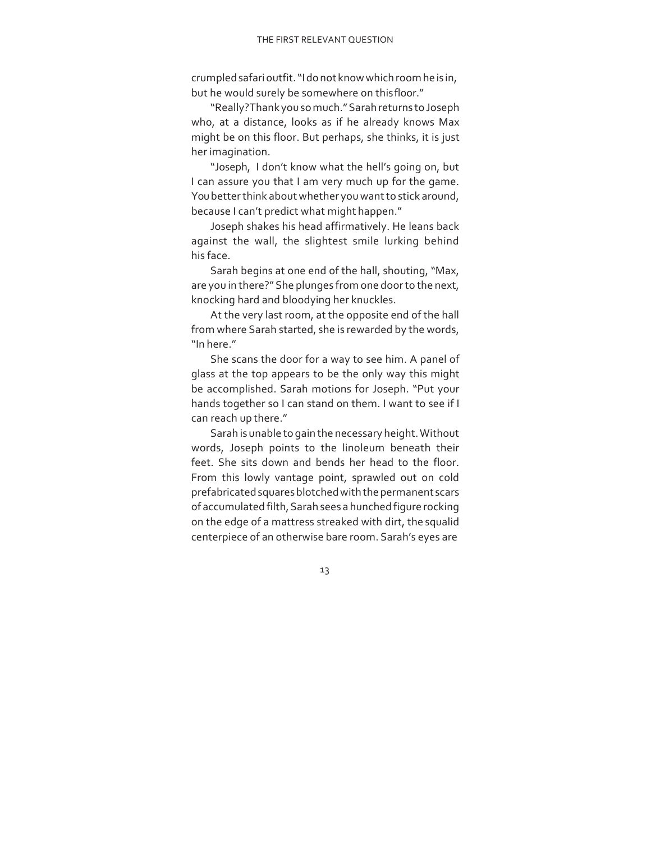crumpledsafarioutfit."Idonot knowwhichroomhe is in,# but he would surely be somewhere on thisfloor."

"Really?Thank you somuch."Sarahreturns toJoseph# who, at a distance, looks as if he already knows Max might be on this floor. But perhaps, she thinks, it is just her imagination.

"Joseph, I don't know what the hell's going on, but I can assure you that I am very much up for the game. You better think about whether you want to stick around, because I can't predict what might happen."

Joseph shakes his head affirmatively. He leans back against the wall, the slightest smile lurking behind his face.

Sarah begins at one end of the hall, shouting, "Max, are you in there?" She plunges from one door to the next, knocking hard and bloodying her knuckles.

At the very last room, at the opposite end of the hall from where Sarah started, she is rewarded by the words,# "In here."

She scans the door for a way to see him. A panel of glass at the top appears to be the only way this might be accomplished. Sarah motions for Joseph. "Put your hands together so I can stand on them. I want to see if I can reach up there."

Sarah is unable to gain the necessary height. Without words, Joseph points to the linoleum beneath their feet. She sits down and bends her head to the floor. From this lowly vantage point, sprawled out on cold prefabricated squares blotched with the permanent scars of accumulated filth, Sarah sees a hunched figure rocking on the edge of a mattress streaked with dirt, the squalid centerpiece of an otherwise bare room. Sarah's eyes are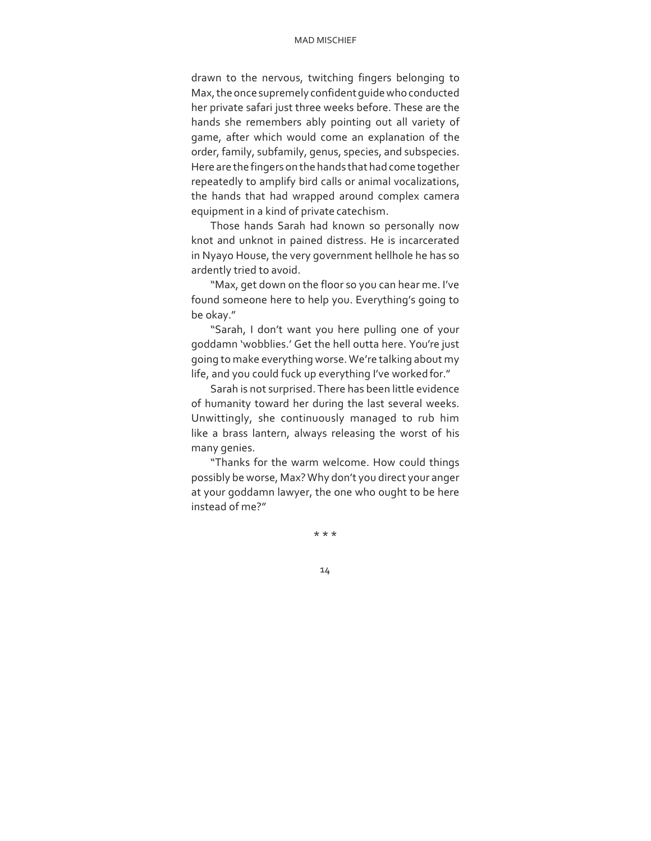drawn to the nervous, twitching fingers belonging to Max, the once supremely confident quide who conducted her private safari just three weeks before. These are the hands she remembers ably pointing out all variety of game, after which would come an explanation of the order, family, subfamily, genus, species, and subspecies.# Here are the fingers on the hands that had come together repeatedly to amplify bird calls or animal vocalizations, the hands that had wrapped around complex camera equipment in a kind of private catechism.

Those hands Sarah had known so personally now knot and unknot in pained distress. He is incarcerated in Nyayo House, the very government hellhole he has so ardently tried to avoid.

"Max, get down on the floor so you can hear me. I've# found someone here to help you. Everything's going to be okay."

"Sarah, I don't want you here pulling one of your goddamn 'wobblies.' Get the hell outta here. You're just going to make everything worse.We're talking about my# life, and you could fuck up everything I've worked for."

Sarah is not surprised. There has been little evidence of humanity toward her during the last several weeks. Unwittingly, she continuously managed to rub him like a brass lantern, always releasing the worst of his many genies.

"Thanks for the warm welcome. How could things possibly be worse, Max?Why don't you direct your anger# at your goddamn lawyer, the one who ought to be here instead of me?"

 $* * *$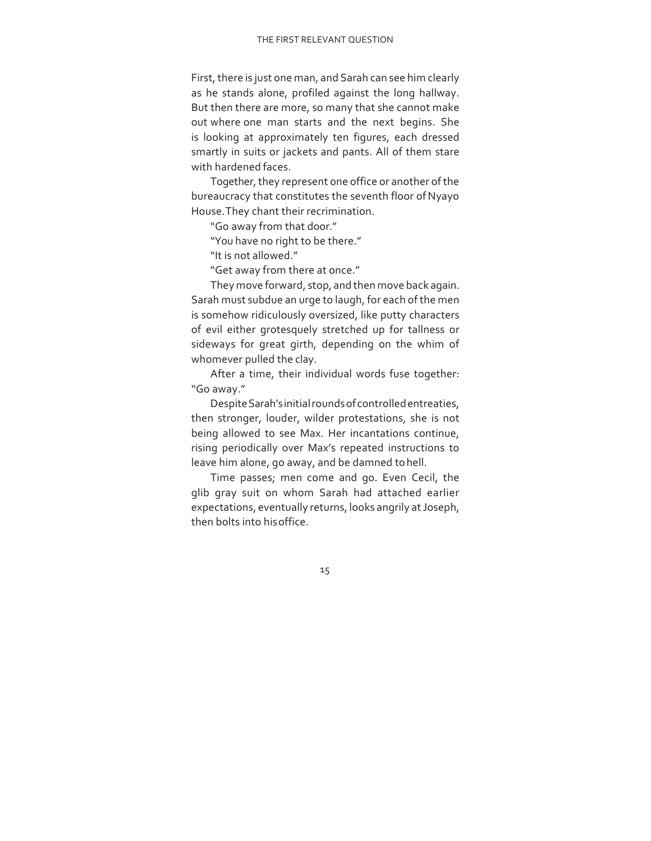First, there is just one man, and Sarah can see him clearly as he stands alone, profiled against the long hallway. But then there are more, so many that she cannot make# out where one man starts and the next begins. She is looking at approximately ten figures, each dressed smartly in suits or jackets and pants. All of them stare with hardened faces.

Together, they represent one office or another of the bureaucracy that constitutes the seventh floor of Nyayo House. They chant their recrimination.

"Go away from that door."

"You have no right to be there."

"It is not allowed."

"Get away from there at once."

They move forward, stop, and then move back again.# Sarah must subdue an urge to laugh, for each of the men# is somehow ridiculously oversized, like putty characters of evil either grotesquely stretched up for tallness or sideways for great girth, depending on the whim of whomever pulled the clay.

After a time, their individual words fuse together: "Go away."

Despite Sarah's initial rounds of controlled entreaties, then stronger, louder, wilder protestations, she is not being allowed to see Max. Her incantations continue, rising periodically over Max's repeated instructions to leave him alone, go away, and be damned to hell.

Time passes; men come and go. Even Cecil, the glib gray suit on whom Sarah had attached earlier expectations, eventually returns, looks angrily at Joseph, then bolts into his office.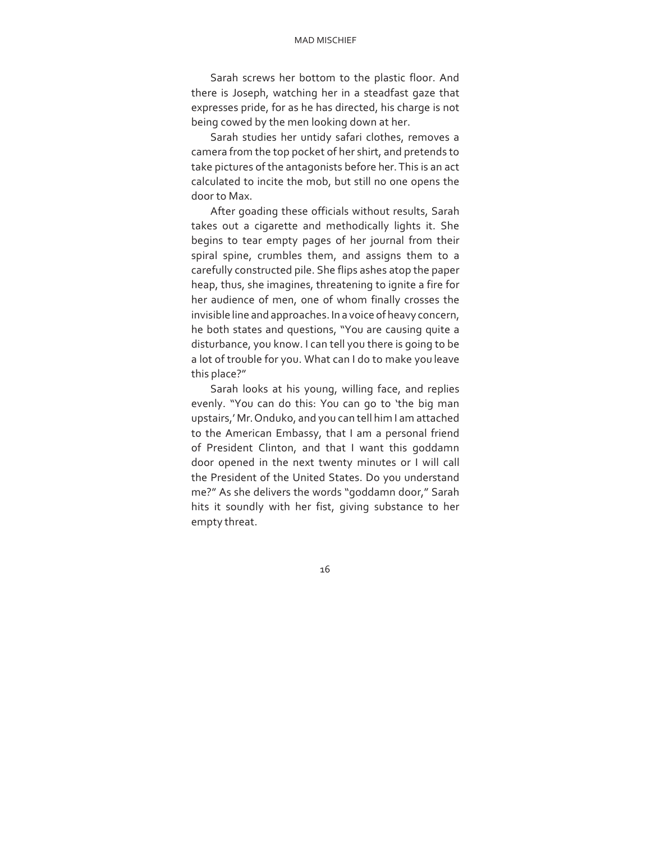Sarah screws her bottom to the plastic floor. And there is Joseph, watching her in a steadfast gaze that expresses pride, for as he has directed, his charge is not being cowed by the men looking down at her.

Sarah studies her untidy safari clothes, removes a camera from the top pocket of her shirt, and pretends to# take pictures of the antagonists before her. This is an act# calculated to incite the mob, but still no one opens the door to Max.

After goading these officials without results, Sarah takes out a cigarette and methodically lights it. She begins to tear empty pages of her journal from their spiral spine, crumbles them, and assigns them to a carefully constructed pile. She flips ashes atop the paper# heap, thus, she imagines, threatening to ignite a fire for her audience of men, one of whom finally crosses the invisible line and approaches. In a voice of heavy concern, he both states and questions, "You are causing quite a disturbance, you know. I can tell you there is going to be# a lot of trouble for you. What can I do to make you leave this place?"

Sarah looks at his young, willing face, and replies evenly. "You can do this: You can go to 'the big man upstairs,' Mr.Onduko, and you can tell him I am attached# to the American Embassy, that I am a personal friend of President Clinton, and that I want this goddamn door opened in the next twenty minutes or I will call the President of the United States. Do you understand me?" As she delivers the words "goddamn door," Sarah hits it soundly with her fist, giving substance to her empty threat.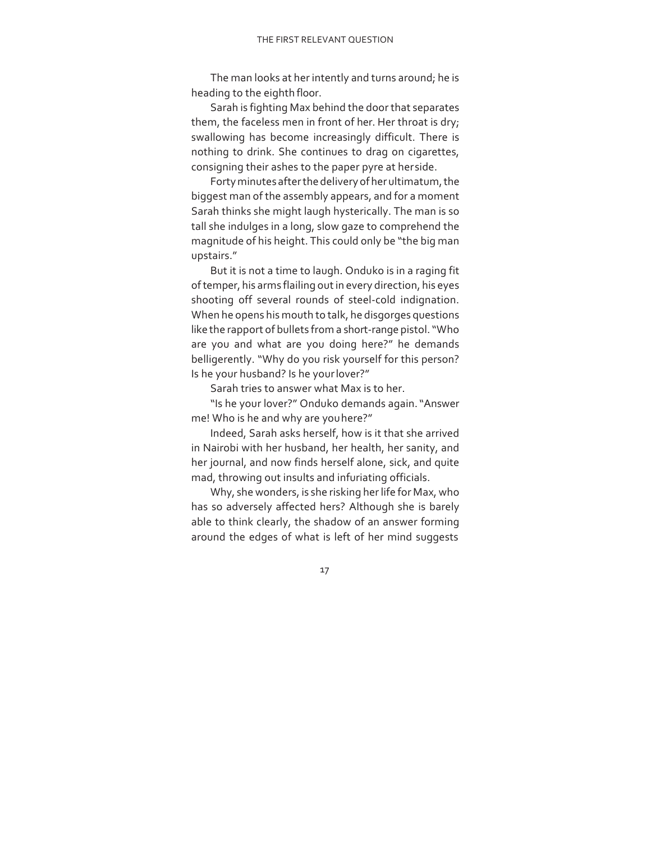The man looks at her intently and turns around; he is# heading to the eighth floor.

Sarah is fighting Max behind the door that separates# them, the faceless men in front of her. Her throat is dry; swallowing has become increasingly difficult. There is nothing to drink. She continues to drag on cigarettes, consigning their ashes to the paper pyre at herside.

Forty minutes after the delivery of her ultimatum, the biggest man of the assembly appears, and for a moment# Sarah thinks she might laugh hysterically. The man is so tall she indulges in a long, slow gaze to comprehend the magnitude of his height. This could only be "the big man# upstairs."

But it is not a time to laugh. Onduko is in a raging fit of temper, his arms flailing out in every direction, his eyes shooting off several rounds of steel-cold indignation. When he opens his mouth to talk, he disgorges questions# like the rapport of bullets from a short-range pistol. "Who are you and what are you doing here?" he demands belligerently. "Why do you risk yourself for this person? Is he your husband? Is he yourlover?"

Sarah tries to answer what Max is to her.

"Is he your lover?" Onduko demands again. "Answer me! Who is he and why are you here?"

Indeed, Sarah asks herself, how is it that she arrived in Nairobi with her husband, her health, her sanity, and her journal, and now finds herself alone, sick, and quite mad, throwing out insults and infuriating officials.

Why, she wonders, is she risking her life for Max, who has so adversely affected hers? Although she is barely able to think clearly, the shadow of an answer forming around the edges of what is left of her mind suggests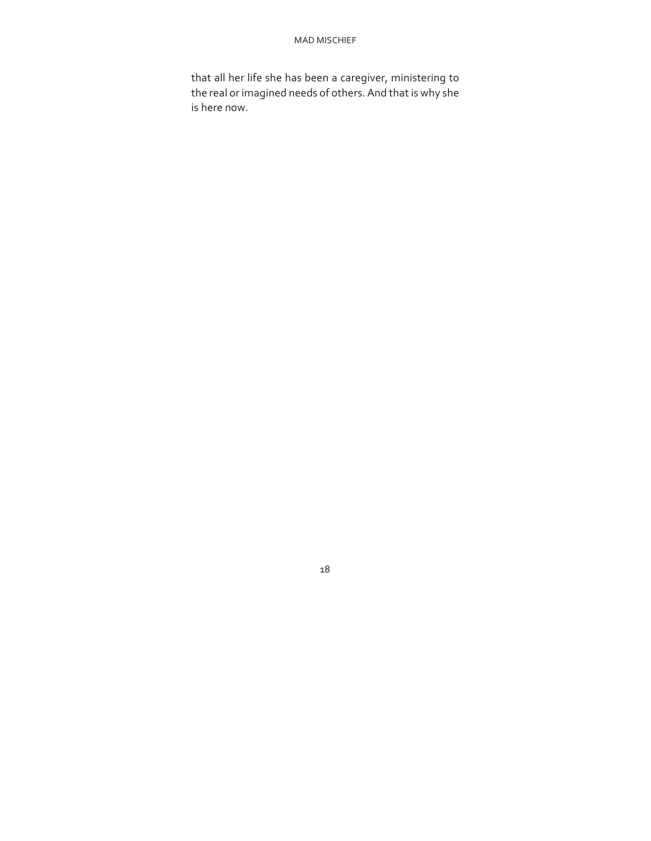that all her life she has been a caregiver, ministering to the real or imagined needs of others.And that is why she# is here now.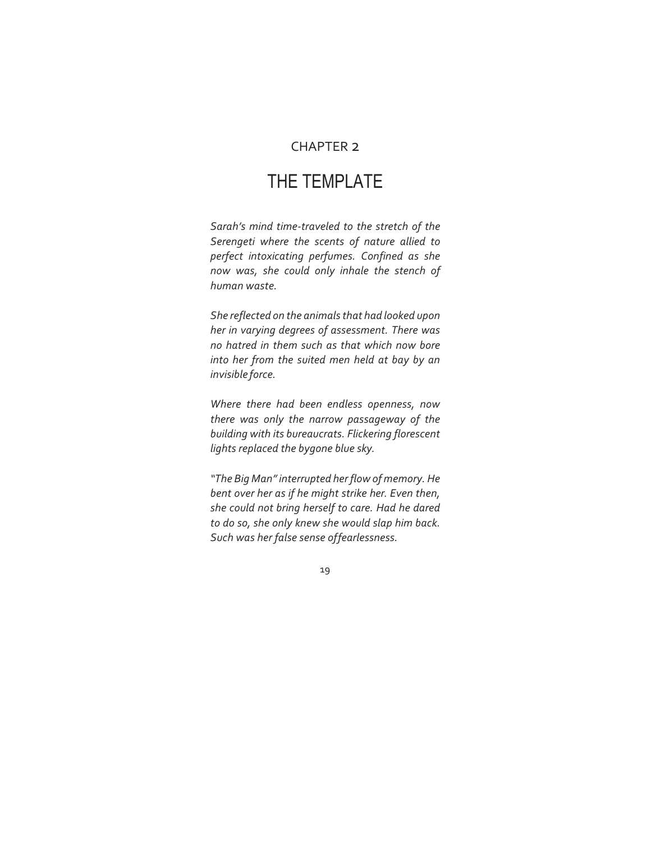### CHAPTER<sub>2</sub>

# THE TEMPLATE

Sarah's mind time-traveled to the stretch of the Serengeti where the scents of nature allied to perfect intoxicating perfumes. Confined as she now was, she could only inhale the stench of *human(waste.*

*She reflected on the animalsthat had looked upon( her in varying degrees of assessment. There was*  $no$  hatred in them such as that which now bore *into her from the suited men held at bay by an invisible force.*

*Where( there( had( been( endless( openness,( now(* there was only the narrow passageway of the *building with its bureaucrats. Flickering florescent( lights(replaced(the(bygone(blue sky.*

*"The Big Man"interrupted her flow of memory. He(* bent over her as if he might strike her. Even then, she could not bring herself to care. Had he dared to do so, she only knew she would slap him back. Such was her false sense offearlessness.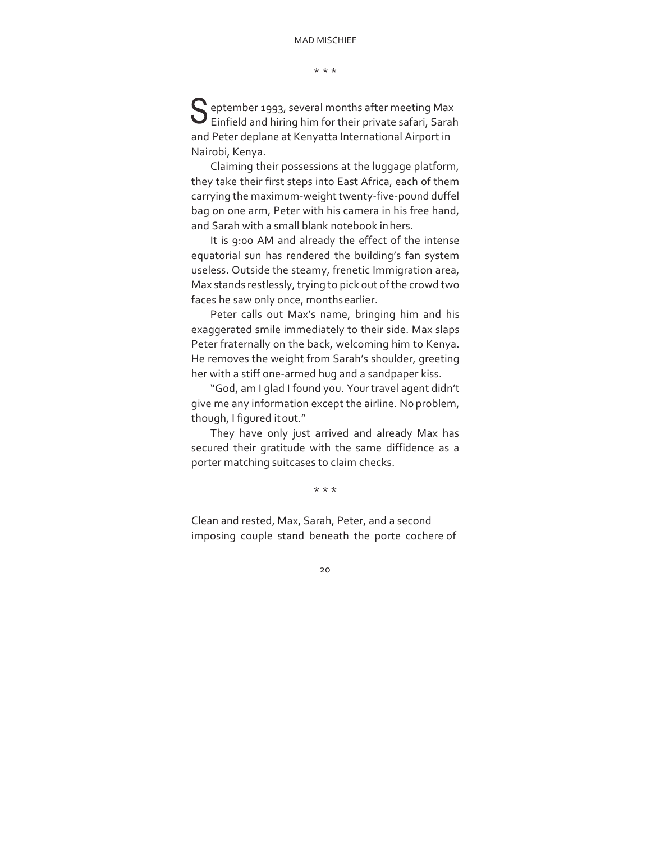$* * *$ 

 $\mathbf S$  eptember 1993, several months after meeting Max  $\blacktriangleright$  Einfield and hiring him for their private safari, Sarah and Peter deplane at Kenyatta International Airport in Nairobi, Kenya.

Claiming their possessions at the luggage platform, they take their first steps into East Africa, each of them carrying the maximum-weight twenty-five-pound duffel bag on one arm, Peter with his camera in his free hand, and Sarah with a small blank notebook inhers.

It is 9:00 AM and already the effect of the intense equatorial sun has rendered the building's fan system useless. Outside the steamy, frenetic Immigration area, Max stands restlessly, trying to pick out of the crowd two faces he saw only once, monthsearlier.

Peter calls out Max's name, bringing him and his exaggerated smile immediately to their side. Max slaps Peter fraternally on the back, welcoming him to Kenya. He removes the weight from Sarah's shoulder, greeting her with a stiff one-armed hug and a sandpaper kiss.

"God, am I glad I found you. Your travel agent didn't give me any information except the airline. No problem, though, I figured it out."

They have only just arrived and already Max has secured their gratitude with the same diffidence as a porter matching suitcases to claim checks.

 $* * *$ 

Clean and rested, Max, Sarah, Peter, and a second imposing couple stand beneath the porte cochere of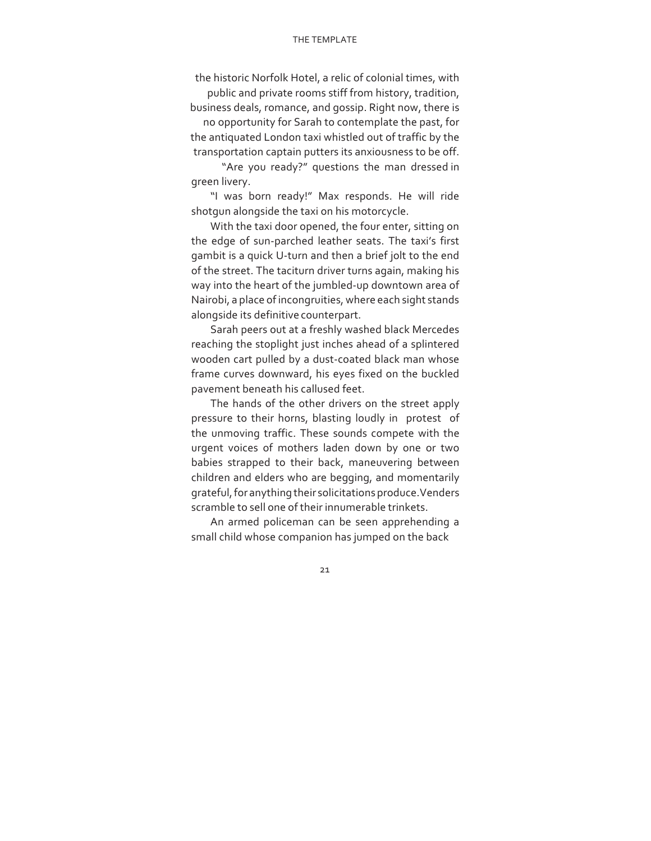### THE TEMPLATE

the historic Norfolk Hotel, a relic of colonial times, with

public and private rooms stiff from history, tradition, business deals, romance, and gossip. Right now, there is no opportunity for Sarah to contemplate the past, for the antiquated London taxi whistled out of traffic by the transportation captain putters its anxiousness to be off.

"Are you ready?" questions the man dressed in green livery.

"I was born ready!" Max responds. He will ride shotgun alongside the taxi on his motorcycle.

With the taxi door opened, the four enter, sitting on the edge of sun-parched leather seats. The taxi's first gambit is a quick U-turn and then a brief jolt to the end of the street. The taciturn driver turns again, making his way into the heart of the jumbled-up downtown area of Nairobi, a place of incongruities, where each sight stands alongside its definitive counterpart.

Sarah peers out at a freshly washed black Mercedes reaching the stoplight just inches ahead of a splintered wooden cart pulled by a dust-coated black man whose frame curves downward, his eyes fixed on the buckled pavement beneath his callused feet.

The hands of the other drivers on the street apply pressure to their horns, blasting loudly in protest of the unmoving traffic. These sounds compete with the urgent voices of mothers laden down by one or two babies strapped to their back, maneuvering between children and elders who are begging, and momentarily grateful, for anything their solicitations produce. Venders scramble to sell one of their innumerable trinkets.

An armed policeman can be seen apprehending a small child whose companion has jumped on the back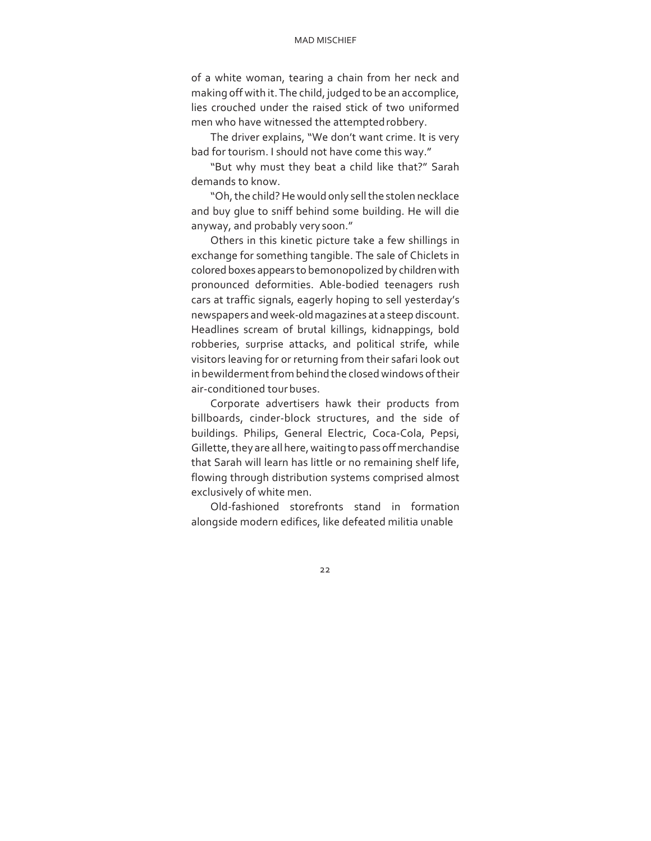of a white woman, tearing a chain from her neck and making off with it.The child, judged to be an accomplice,# lies crouched under the raised stick of two uniformed men who have witnessed the attempted robbery.

The driver explains, "We don't want crime. It is very bad for tourism. I should not have come this way."

"But why must they beat a child like that?" Sarah demands to know.

"Oh, the child? He would only sell the stolen necklace and buy glue to sniff behind some building. He will die anyway, and probably very soon."

Others in this kinetic picture take a few shillings in exchange for something tangible. The sale of Chiclets in colored boxes appears to bemonopolized by children with pronounced deformities. Able-bodied teenagers rush cars at traffic signals, eagerly hoping to sell yesterday's newspapers and week-old magazines at a steep discount. Headlines scream of brutal killings, kidnappings, bold robberies, surprise attacks, and political strife, while visitors leaving for or returning from their safari look out# in bewilderment from behind the closed windows of their air-conditioned tour buses.

Corporate advertisers hawk their products from billboards, cinder-block structures, and the side of buildings. Philips, General Electric, Coca-Cola, Pepsi, Gillette, they are all here, waiting to pass off merchandise that Sarah will learn has little or no remaining shelf life, flowing through distribution systems comprised almost exclusively of white men.

Old-fashioned storefronts stand in formation alongside modern edifices, like defeated militia unable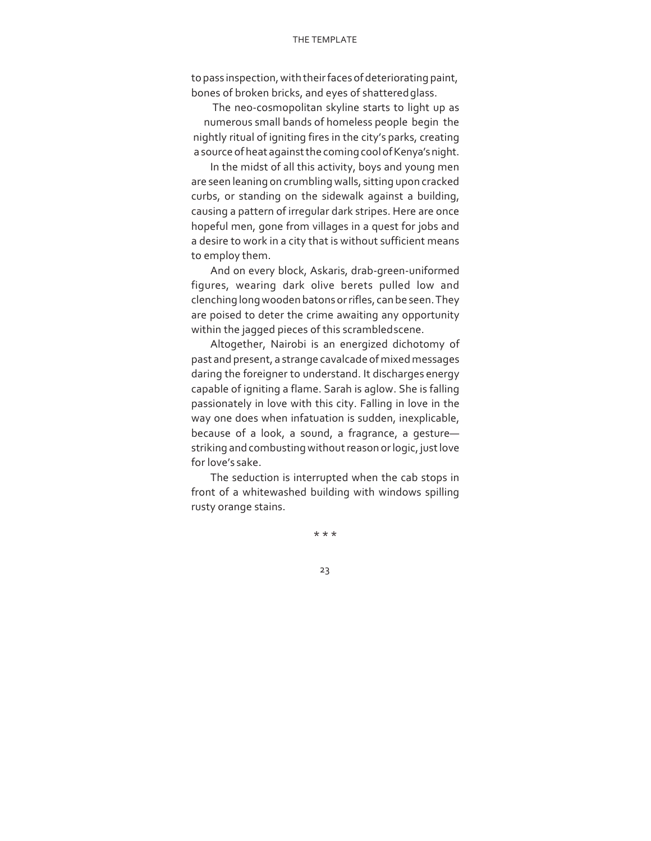### THE TEMPLATE

to pass inspection, with their faces of deteriorating paint, bones of broken bricks, and eyes of shattered glass.

The neo-cosmopolitan skyline starts to light up as numerous small bands of homeless people begin the nightly ritual of igniting fires in the city's parks, creating a source of heat against the coming cool of Kenya's night.

In the midst of all this activity, boys and young men are seen leaning on crumbling walls, sitting upon cracked# curbs, or standing on the sidewalk against a building, causing a pattern of irregular dark stripes. Here are once# hopeful men, gone from villages in a quest for jobs and a desire to work in a city that is without sufficient means to employ them.

And on every block, Askaris, drab-green-uniformed figures, wearing dark olive berets pulled low and clenching longwooden batons orrifles, can be seen.They# are poised to deter the crime awaiting any opportunity within the jagged pieces of this scrambledscene.

Altogether, Nairobi is an energized dichotomy of past and present, a strange cavalcade of mixed messages# daring the foreigner to understand. It discharges energy capable of igniting a flame. Sarah is aglow. She is falling passionately in love with this city. Falling in love in the way one does when infatuation is sudden, inexplicable, because of a look, a sound, a fragrance, a gesture striking and combusting without reason or logic, just love for love's sake.

The seduction is interrupted when the cab stops in front of a whitewashed building with windows spilling rusty orange stains.

 $* * *$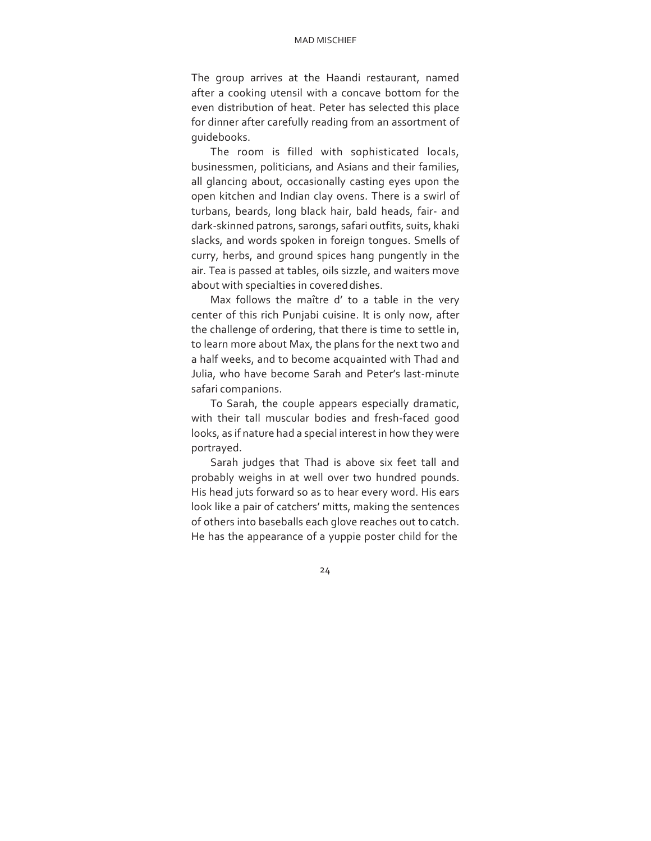The group arrives at the Haandi restaurant, named after a cooking utensil with a concave bottom for the even distribution of heat. Peter has selected this place for dinner after carefully reading from an assortment of guidebooks.

The room is filled with sophisticated locals, businessmen, politicians, and Asians and their families, all glancing about, occasionally casting eyes upon the open kitchen and Indian clay ovens. There is a swirl of turbans, beards, long black hair, bald heads, fair- and dark-skinned patrons, sarongs, safari outfits, suits, khaki slacks, and words spoken in foreign tongues. Smells of curry, herbs, and ground spices hang pungently in the air. Tea is passed at tables, oils sizzle, and waiters move about with specialties in covered dishes.

Max follows the maître d' to a table in the very center of this rich Punjabi cuisine. It is only now, after the challenge of ordering, that there is time to settle in, to learn more about Max, the plans for the next two and a half weeks, and to become acquainted with Thad and Julia, who have become Sarah and Peter's last-minute safari companions.

To Sarah, the couple appears especially dramatic, with their tall muscular bodies and fresh-faced good looks, as if nature had a special interest in how they were portrayed.

Sarah judges that Thad is above six feet tall and probably weighs in at well over two hundred pounds. His head juts forward so as to hear every word. His ears look like a pair of catchers' mitts, making the sentences of others into baseballs each glove reaches out to catch. He has the appearance of a yuppie poster child for the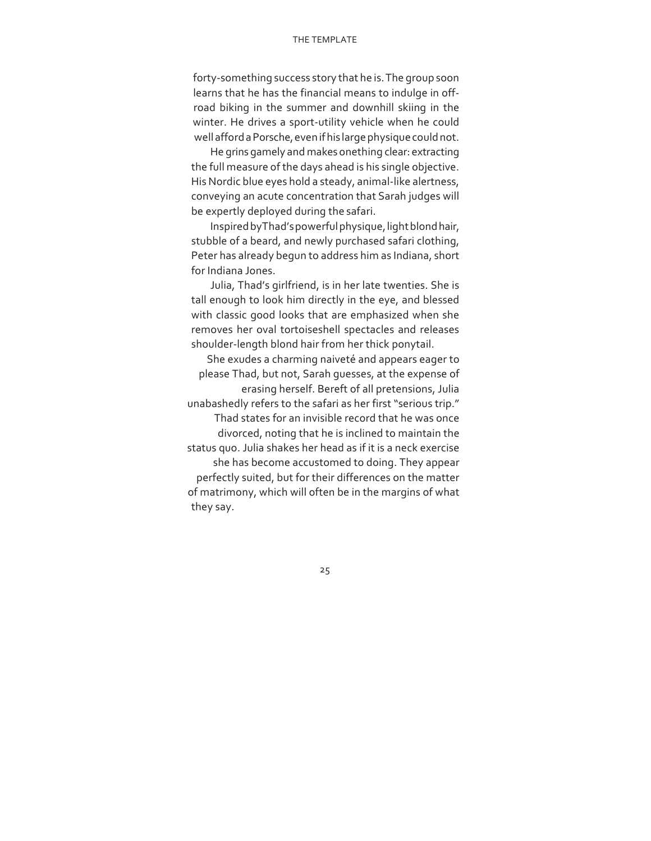### THE TEMPLATE

forty-something success story that he is. The group soon learns that he has the financial means to indulge in offroad biking in the summer and downhill skiing in the# winter. He drives a sport-utility vehicle when he could well afford a Porsche, even if his large physique could not.

He grins gamely and makes onething clear: extracting# the full measure of the days ahead is his single objective. His Nordic blue eyes hold a steady, animal-like alertness, conveying an acute concentration that Sarah judges will# be expertly deployed during the safari.

Inspired by Thad's powerful physique, light blond hair, stubble of a beard, and newly purchased safari clothing, Peter has already begun to address him as Indiana, short# for Indiana Jones.

Julia, Thad's girlfriend, is in her late twenties. She is tall enough to look him directly in the eye, and blessed with classic good looks that are emphasized when she removes her oval tortoiseshell spectacles and releases shoulder-length blond hair from her thick ponytail.

She exudes a charming naiveté and appears eager to please Thad, but not, Sarah guesses, at the expense of erasing herself. Bereft of all pretensions, Julia unabashedly refers to the safari as her first "serious trip." Thad states for an invisible record that he was once divorced, noting that he is inclined to maintain the status quo. Julia shakes her head as if it is a neck exercise she has become accustomed to doing. They appear perfectly suited, but for their differences on the matter of matrimony, which will often be in the margins of what they say.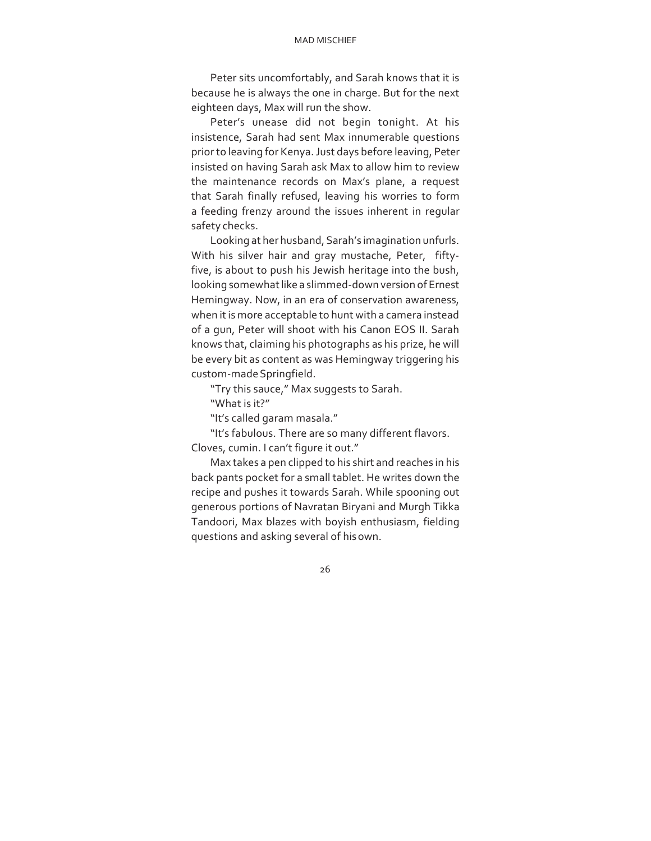Peter sits uncomfortably, and Sarah knows that it is because he is always the one in charge. But for the next eighteen days, Max will run the show.

Peter's unease did not begin tonight. At his insistence, Sarah had sent Max innumerable questions priorto leaving for Kenya.Just days before leaving, Peter# insisted on having Sarah ask Max to allow him to review the maintenance records on Max's plane, a request that Sarah finally refused, leaving his worries to form a feeding frenzy around the issues inherent in regular safety checks.

Looking at her husband, Sarah's imagination unfurls. With his silver hair and gray mustache, Peter, fiftyfive, is about to push his Jewish heritage into the bush, looking somewhat like a slimmed-down version of Ernest Hemingway. Now, in an era of conservation awareness, when it is more acceptable to hunt with a camera instead of a gun, Peter will shoot with his Canon EOS II. Sarah knows that, claiming his photographs as his prize, he will# be every bit as content as was Hemingway triggering his# custom-made Springfield.

"Try this sauce," Max suggests to Sarah.

"What is it?"

"It's called garam masala."

"It's fabulous. There are so many different flavors. Cloves, cumin. I can't figure it out."

Max takes a pen clipped to his shirt and reaches in his# back pants pocket for a small tablet. He writes down the# recipe and pushes it towards Sarah. While spooning out generous portions of Navratan Biryani and Murgh Tikka Tandoori, Max blazes with boyish enthusiasm, fielding questions and asking several of hisown.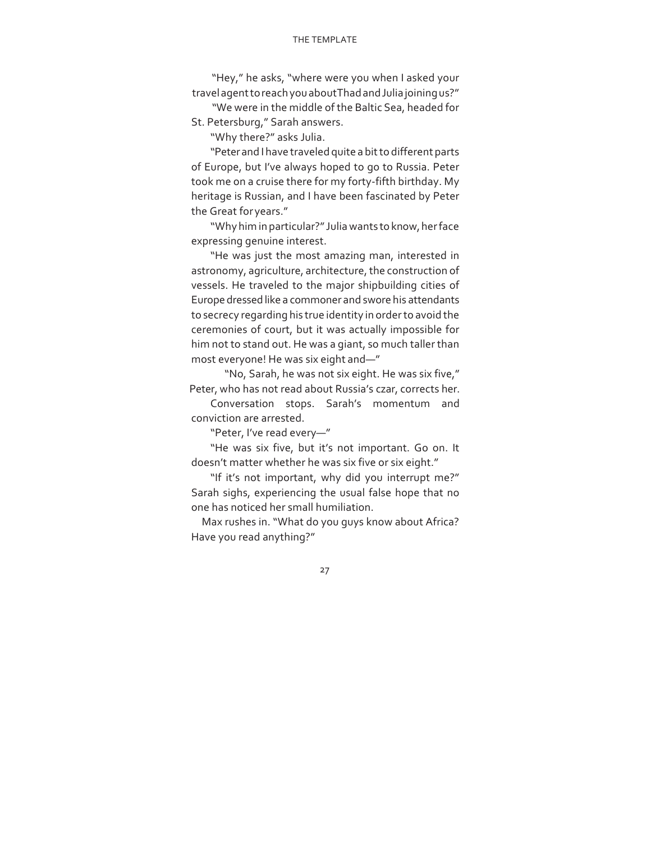### THE TEMPLATE

"Hey," he asks, "where were you when I asked your travel agent to reach you about Thad and Julia joining us?"

"We were in the middle of the Baltic Sea, headed for St. Petersburg," Sarah answers.

"Why there?" asks Julia.

"Peterand I have traveled quite a bitto different parts# of Europe, but I've always hoped to go to Russia. Peter took me on a cruise there for my forty-fifth birthday. My heritage is Russian, and I have been fascinated by Peter the Great for years."

"Why him in particular?" Julia wants to know, her face expressing genuine interest.

"He was just the most amazing man, interested in astronomy, agriculture, architecture, the construction of vessels. He traveled to the major shipbuilding cities of Europe dressed like a commoner and swore his attendants# to secrecy regarding his true identity in order to avoid the ceremonies of court, but it was actually impossible for him not to stand out. He was a giant, so much taller than# most everyone! He was six eight and—"

"No, Sarah, he was not six eight. He was six five," Peter, who has not read about Russia's czar, corrects her.

Conversation stops. Sarah's momentum and conviction are arrested.

"Peter, I've read every-"

"He was six five, but it's not important. Go on. It doesn't matter whether he was six five or six eight."

"If it's not important, why did you interrupt me?" Sarah sighs, experiencing the usual false hope that no one has noticed her small humiliation.

Max rushes in. "What do you guys know about Africa? Have you read anything?"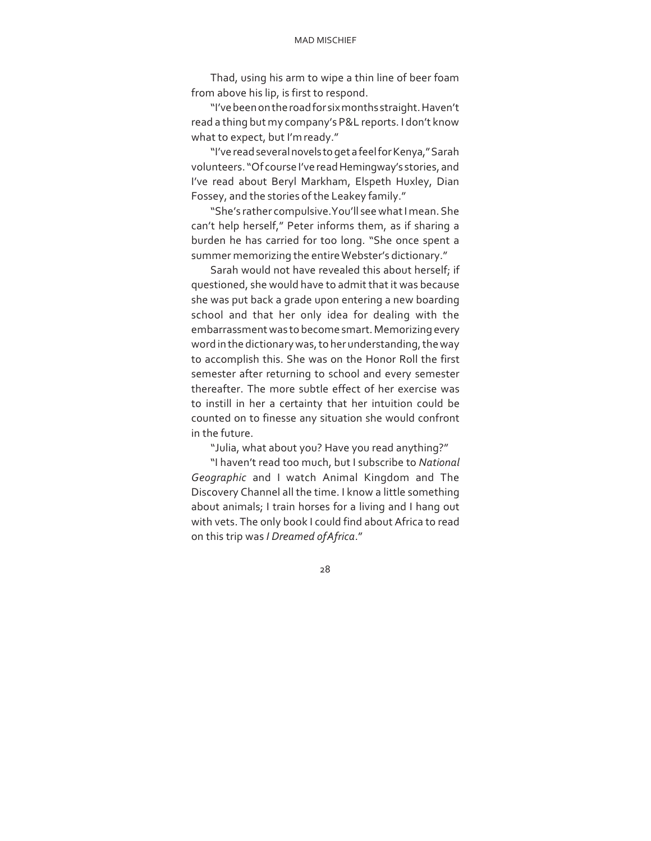Thad, using his arm to wipe a thin line of beer foam from above his lip, is first to respond.

"I'vebeenontheroadfor sixmonths straight.Haven't# read a thing but my company's P&L reports. I don't know# what to expect, but I'm ready."

"I've read several novels to get a feel for Kenya," Sarah volunteers. "Of course I've read Hemingway's stories, and I've read about Beryl Markham, Elspeth Huxley, Dian Fossey, and the stories of the Leakey family."

"She's rather compulsive. You'll see what I mean. She can't help herself," Peter informs them, as if sharing a burden he has carried for too long. "She once spent a summer memorizing the entire Webster's dictionary."

Sarah would not have revealed this about herself; if questioned, she would have to admit that it was because# she was put back a grade upon entering a new boarding school and that her only idea for dealing with the embarrassmentwas to become smart.Memorizing every# word in the dictionary was, to her understanding, the way to accomplish this. She was on the Honor Roll the first semester after returning to school and every semester thereafter. The more subtle effect of her exercise was to instill in her a certainty that her intuition could be counted on to finesse any situation she would confront in the future.

"Julia, what about you? Have you read anything?"

"I haven't read too much, but I subscribe to National *Geographic* and I watch Animal Kingdom and The Discovery Channel all the time. I know a little something# about animals; I train horses for a living and I hang out with vets. The only book I could find about Africa to read# on this trip was *I Dreamed of Africa*."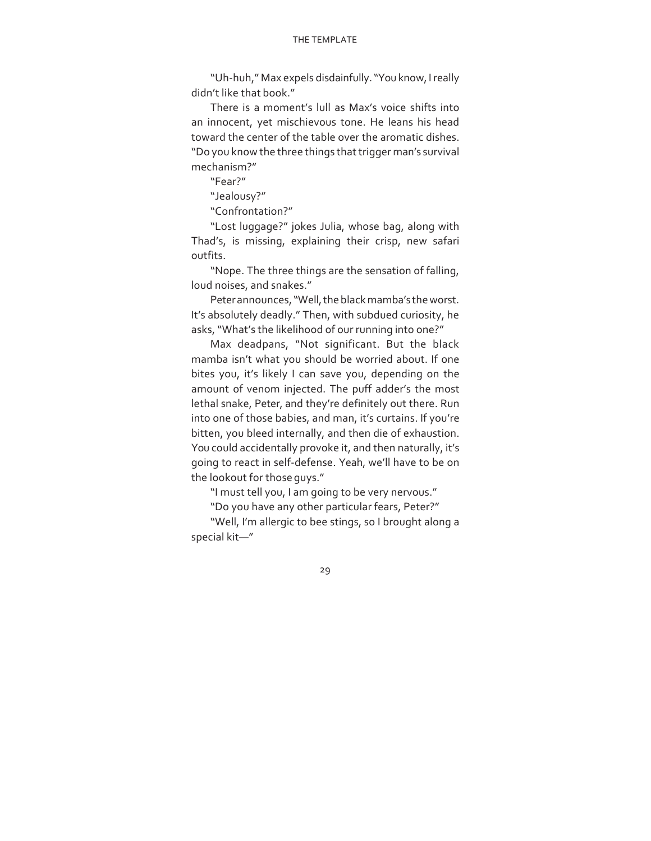"Uh-huh," Max expels disdainfully. "You know, I really didn't like that book."

There is a moment's lull as Max's voice shifts into an innocent, yet mischievous tone. He leans his head toward the center of the table over the aromatic dishes. "Do you know the three things that trigger man's survival mechanism?"

"Fear?"

"Jealousy?"

"Confrontation?"

"Lost luggage?" jokes Julia, whose bag, along with Thad's, is missing, explaining their crisp, new safari outfits.

"Nope. The three things are the sensation of falling, loud noises, and snakes."

Peter announces, "Well, the black mamba's the worst. It's absolutely deadly." Then, with subdued curiosity, he asks,"What's the likelihood of our running into one?"

Max deadpans, "Not significant. But the black mamba isn't what you should be worried about. If one bites you, it's likely I can save you, depending on the amount of venom injected. The puff adder's the most lethal snake, Peter, and they're definitely out there. Run into one of those babies, and man, it's curtains. If you're bitten, you bleed internally, and then die of exhaustion. You could accidentally provoke it, and then naturally, it's going to react in self-defense. Yeah, we'll have to be on the lookout for those guys."

"I must tell you, I am going to be very nervous."

"Do you have any other particular fears, Peter?"

"Well, I'm allergic to bee stings, so I brought along a special kit-"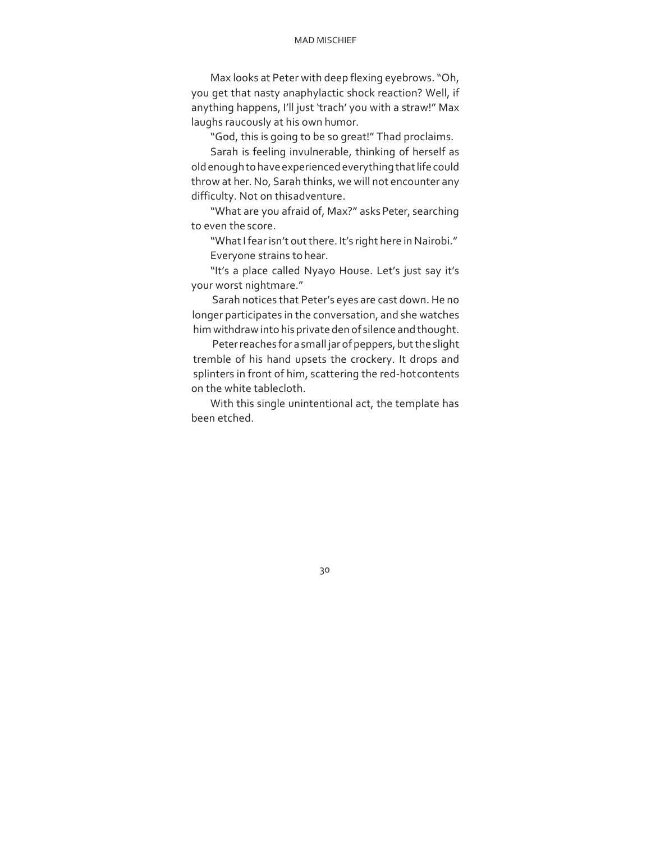Max looks at Peter with deep flexing eyebrows. "Oh, you get that nasty anaphylactic shock reaction? Well, if anything happens, I'll just 'trach' you with a straw!" Max laughs raucously at his own humor.

"God, this is going to be so great!" Thad proclaims.

Sarah is feeling invulnerable, thinking of herself as old enough to have experienced everything that life could throw at her. No, Sarah thinks, we will not encounter any difficulty. Not on thisadventure.

"What are you afraid of, Max?" asks Peter, searching to even the score.

"What I fear isn't out there. It's right here in Nairobi." Everyone strains to hear.

"It's a place called Nyayo House. Let's just say it's your worst nightmare."

Sarah notices that Peter's eyes are cast down. He no longer participates in the conversation, and she watches# him withdraw into his private den of silence and thought.

Peter reaches for a small jar of peppers, but the slight tremble of his hand upsets the crockery. It drops and splinters in front of him, scattering the red-hotcontents on the white tablecloth.

With this single unintentional act, the template has been etched.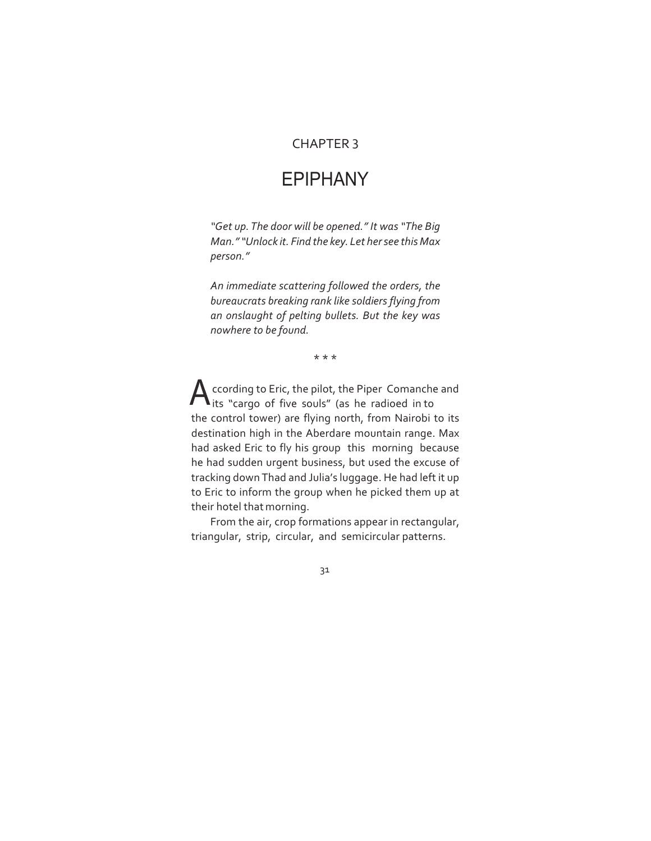### **CHAPTER 3**

## EPIPHANY

*"Get up. The door will be opened." It was "The Big( Man.""Unlock it. Find the key. Let hersee thisMax( person."*

An immediate scattering followed the orders, the *bureaucrats breaking rank like soldiersflying from(* an onslaught of pelting bullets. But the key was *nowhere to be found.* 

 $* * *$ 

ccording to Eric, the pilot, the Piper Comanche and its "cargo of five souls" (as he radioed in to the control tower) are flying north, from Nairobi to its destination high in the Aberdare mountain range. Max had asked Eric to fly his group this morning because he had sudden urgent business, but used the excuse of tracking down Thad and Julia's luggage. He had left it up# to Eric to inform the group when he picked them up at their hotel that morning.

From the air, crop formations appear in rectangular, triangular, strip, circular, and semicircular patterns.